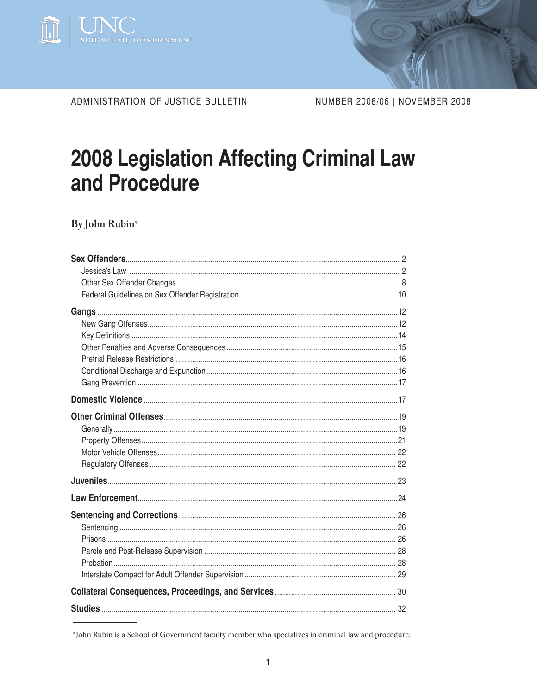

ADMINISTRATION OF JUSTICE BULLETIN

NUMBER 2008/06 | NOVEMBER 2008

# **2008 Legislation Affecting Criminal Law** and Procedure

By John Rubin\*

<sup>\*</sup>John Rubin is a School of Government faculty member who specializes in criminal law and procedure.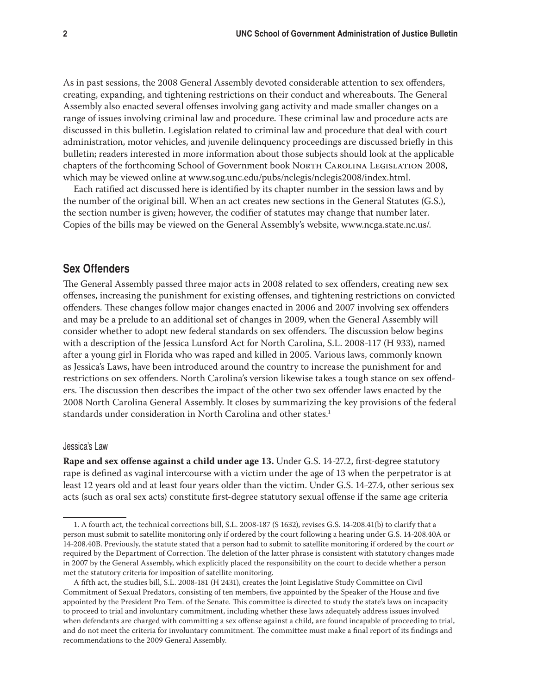As in past sessions, the 2008 General Assembly devoted considerable attention to sex offenders, creating, expanding, and tightening restrictions on their conduct and whereabouts. The General Assembly also enacted several offenses involving gang activity and made smaller changes on a range of issues involving criminal law and procedure. These criminal law and procedure acts are discussed in this bulletin. Legislation related to criminal law and procedure that deal with court administration, motor vehicles, and juvenile delinquency proceedings are discussed briefly in this bulletin; readers interested in more information about those subjects should look at the applicable chapters of the forthcoming School of Government book North Carolina Legislation 2008, which may be viewed online at www.sog.unc.edu/pubs/nclegis/nclegis2008/index.html.

Each ratified act discussed here is identified by its chapter number in the session laws and by the number of the original bill. When an act creates new sections in the General Statutes (G.S.), the section number is given; however, the codifier of statutes may change that number later. Copies of the bills may be viewed on the General Assembly's website, www.ncga.state.nc.us/.

# **Sex Offenders**

The General Assembly passed three major acts in 2008 related to sex offenders, creating new sex offenses, increasing the punishment for existing offenses, and tightening restrictions on convicted offenders. These changes follow major changes enacted in 2006 and 2007 involving sex offenders and may be a prelude to an additional set of changes in 2009, when the General Assembly will consider whether to adopt new federal standards on sex offenders. The discussion below begins with a description of the Jessica Lunsford Act for North Carolina, S.L. 2008-117 (H 933), named after a young girl in Florida who was raped and killed in 2005. Various laws, commonly known as Jessica's Laws, have been introduced around the country to increase the punishment for and restrictions on sex offenders. North Carolina's version likewise takes a tough stance on sex offenders. The discussion then describes the impact of the other two sex offender laws enacted by the 2008 North Carolina General Assembly. It closes by summarizing the key provisions of the federal standards under consideration in North Carolina and other states.<sup>1</sup>

#### Jessica's Law

**Rape and sex offense against a child under age 13.** Under G.S. 14-27.2, first-degree statutory rape is defined as vaginal intercourse with a victim under the age of 13 when the perpetrator is at least 12 years old and at least four years older than the victim. Under G.S. 14-27.4, other serious sex acts (such as oral sex acts) constitute first-degree statutory sexual offense if the same age criteria

<sup>1.</sup> A fourth act, the technical corrections bill, S.L. 2008-187 (S 1632), revises G.S. 14-208.41(b) to clarify that a person must submit to satellite monitoring only if ordered by the court following a hearing under G.S. 14-208.40A or 14-208.40B. Previously, the statute stated that a person had to submit to satellite monitoring if ordered by the court *or*  required by the Department of Correction. The deletion of the latter phrase is consistent with statutory changes made in 2007 by the General Assembly, which explicitly placed the responsibility on the court to decide whether a person met the statutory criteria for imposition of satellite monitoring.

A fifth act, the studies bill, S.L. 2008-181 (H 2431), creates the Joint Legislative Study Committee on Civil Commitment of Sexual Predators, consisting of ten members, five appointed by the Speaker of the House and five appointed by the President Pro Tem. of the Senate. This committee is directed to study the state's laws on incapacity to proceed to trial and involuntary commitment, including whether these laws adequately address issues involved when defendants are charged with committing a sex offense against a child, are found incapable of proceeding to trial, and do not meet the criteria for involuntary commitment. The committee must make a final report of its findings and recommendations to the 2009 General Assembly.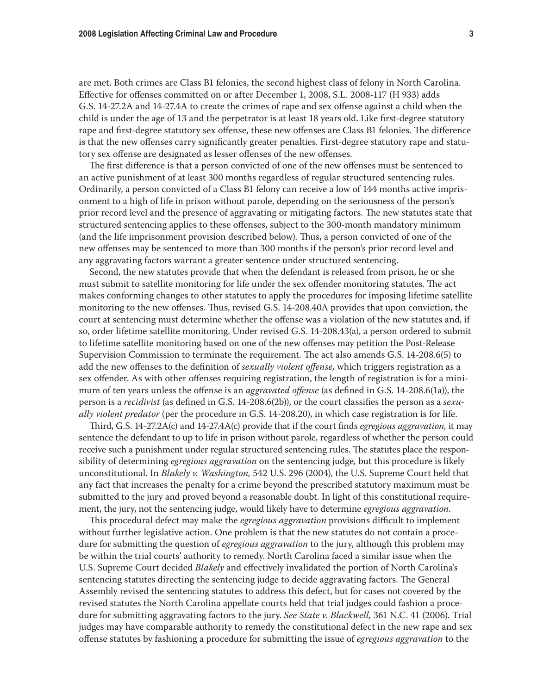are met. Both crimes are Class B1 felonies, the second highest class of felony in North Carolina. Effective for offenses committed on or after December 1, 2008, S.L. 2008-117 (H 933) adds G.S. 14-27.2A and 14-27.4A to create the crimes of rape and sex offense against a child when the child is under the age of 13 and the perpetrator is at least 18 years old. Like first-degree statutory rape and first-degree statutory sex offense, these new offenses are Class B1 felonies. The difference is that the new offenses carry significantly greater penalties. First-degree statutory rape and statutory sex offense are designated as lesser offenses of the new offenses.

The first difference is that a person convicted of one of the new offenses must be sentenced to an active punishment of at least 300 months regardless of regular structured sentencing rules. Ordinarily, a person convicted of a Class B1 felony can receive a low of 144 months active imprisonment to a high of life in prison without parole, depending on the seriousness of the person's prior record level and the presence of aggravating or mitigating factors. The new statutes state that structured sentencing applies to these offenses, subject to the 300-month mandatory minimum (and the life imprisonment provision described below). Thus, a person convicted of one of the new offenses may be sentenced to more than 300 months if the person's prior record level and any aggravating factors warrant a greater sentence under structured sentencing.

Second, the new statutes provide that when the defendant is released from prison, he or she must submit to satellite monitoring for life under the sex offender monitoring statutes. The act makes conforming changes to other statutes to apply the procedures for imposing lifetime satellite monitoring to the new offenses. Thus, revised G.S. 14-208.40A provides that upon conviction, the court at sentencing must determine whether the offense was a violation of the new statutes and, if so, order lifetime satellite monitoring. Under revised G.S. 14-208.43(a), a person ordered to submit to lifetime satellite monitoring based on one of the new offenses may petition the Post-Release Supervision Commission to terminate the requirement. The act also amends G.S. 14-208.6(5) to add the new offenses to the definition of *sexually violent offense,* which triggers registration as a sex offender. As with other offenses requiring registration, the length of registration is for a minimum of ten years unless the offense is an *aggravated offense* (as defined in G.S. 14-208.6(1a)), the person is a *recidivist* (as defined in G.S. 14-208.6(2b)), or the court classifies the person as a *sexually violent predator* (per the procedure in G.S. 14-208.20), in which case registration is for life.

Third, G.S. 14-27.2A(c) and 14-27.4A(c) provide that if the court finds *egregious aggravation,* it may sentence the defendant to up to life in prison without parole, regardless of whether the person could receive such a punishment under regular structured sentencing rules. The statutes place the responsibility of determining *egregious aggravation* on the sentencing judge*,* but this procedure is likely unconstitutional. In *Blakely v. Washington,* 542 U.S. 296 (2004), the U.S. Supreme Court held that any fact that increases the penalty for a crime beyond the prescribed statutory maximum must be submitted to the jury and proved beyond a reasonable doubt. In light of this constitutional requirement, the jury, not the sentencing judge, would likely have to determine *egregious aggravation*.

This procedural defect may make the *egregious aggravation* provisions difficult to implement without further legislative action. One problem is that the new statutes do not contain a procedure for submitting the question of *egregious aggravation* to the jury, although this problem may be within the trial courts' authority to remedy. North Carolina faced a similar issue when the U.S. Supreme Court decided *Blakely* and effectively invalidated the portion of North Carolina's sentencing statutes directing the sentencing judge to decide aggravating factors. The General Assembly revised the sentencing statutes to address this defect, but for cases not covered by the revised statutes the North Carolina appellate courts held that trial judges could fashion a procedure for submitting aggravating factors to the jury. *See State v. Blackwell,* 361 N.C. 41 (2006). Trial judges may have comparable authority to remedy the constitutional defect in the new rape and sex offense statutes by fashioning a procedure for submitting the issue of *egregious aggravation* to the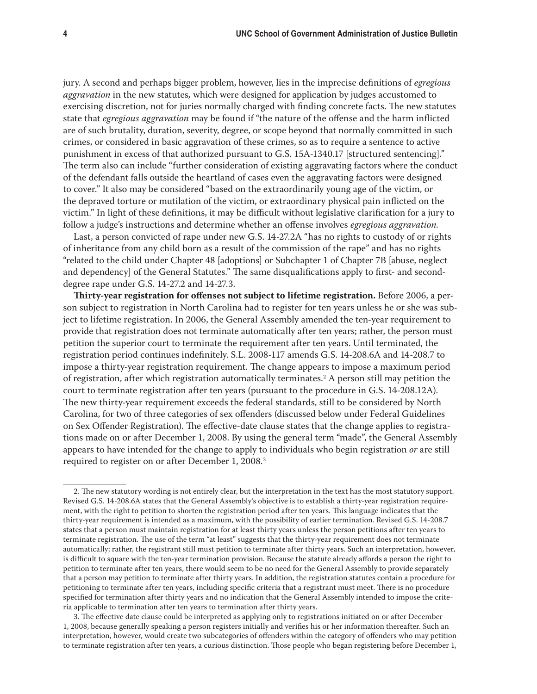jury. A second and perhaps bigger problem, however, lies in the imprecise definitions of *egregious aggravation* in the new statutes*,* which were designed for application by judges accustomed to exercising discretion, not for juries normally charged with finding concrete facts. The new statutes state that *egregious aggravation* may be found if "the nature of the offense and the harm inflicted are of such brutality, duration, severity, degree, or scope beyond that normally committed in such crimes, or considered in basic aggravation of these crimes, so as to require a sentence to active punishment in excess of that authorized pursuant to G.S. 15A-1340.17 [structured sentencing]." The term also can include "further consideration of existing aggravating factors where the conduct of the defendant falls outside the heartland of cases even the aggravating factors were designed to cover." It also may be considered "based on the extraordinarily young age of the victim, or the depraved torture or mutilation of the victim, or extraordinary physical pain inflicted on the victim." In light of these definitions, it may be difficult without legislative clarification for a jury to follow a judge's instructions and determine whether an offense involves *egregious aggravation.*

Last, a person convicted of rape under new G.S. 14-27.2A "has no rights to custody of or rights of inheritance from any child born as a result of the commission of the rape" and has no rights "related to the child under Chapter 48 [adoptions] or Subchapter 1 of Chapter 7B [abuse, neglect and dependency] of the General Statutes." The same disqualifications apply to first- and seconddegree rape under G.S. 14-27.2 and 14-27.3.

**Thirty-year registration for offenses not subject to lifetime registration.** Before 2006, a person subject to registration in North Carolina had to register for ten years unless he or she was subject to lifetime registration. In 2006, the General Assembly amended the ten-year requirement to provide that registration does not terminate automatically after ten years; rather, the person must petition the superior court to terminate the requirement after ten years. Until terminated, the registration period continues indefinitely. S.L. 2008-117 amends G.S. 14-208.6A and 14-208.7 to impose a thirty-year registration requirement. The change appears to impose a maximum period of registration, after which registration automatically terminates.2 A person still may petition the court to terminate registration after ten years (pursuant to the procedure in G.S. 14-208.12A). The new thirty-year requirement exceeds the federal standards, still to be considered by North Carolina, for two of three categories of sex offenders (discussed below under Federal Guidelines on Sex Offender Registration). The effective-date clause states that the change applies to registrations made on or after December 1, 2008. By using the general term "made", the General Assembly appears to have intended for the change to apply to individuals who begin registration *or* are still required to register on or after December 1, 2008.3

<sup>2.</sup> The new statutory wording is not entirely clear, but the interpretation in the text has the most statutory support. Revised G.S. 14-208.6A states that the General Assembly's objective is to establish a thirty-year registration requirement, with the right to petition to shorten the registration period after ten years. This language indicates that the thirty-year requirement is intended as a maximum, with the possibility of earlier termination. Revised G.S. 14-208.7 states that a person must maintain registration for at least thirty years unless the person petitions after ten years to terminate registration. The use of the term "at least" suggests that the thirty-year requirement does not terminate automatically; rather, the registrant still must petition to terminate after thirty years. Such an interpretation, however, is difficult to square with the ten-year termination provision. Because the statute already affords a person the right to petition to terminate after ten years, there would seem to be no need for the General Assembly to provide separately that a person may petition to terminate after thirty years. In addition, the registration statutes contain a procedure for petitioning to terminate after ten years, including specific criteria that a registrant must meet. There is no procedure specified for termination after thirty years and no indication that the General Assembly intended to impose the criteria applicable to termination after ten years to termination after thirty years.

<sup>3.</sup> The effective date clause could be interpreted as applying only to registrations initiated on or after December 1, 2008, because generally speaking a person registers initially and verifies his or her information thereafter. Such an interpretation, however, would create two subcategories of offenders within the category of offenders who may petition to terminate registration after ten years, a curious distinction. Those people who began registering before December 1,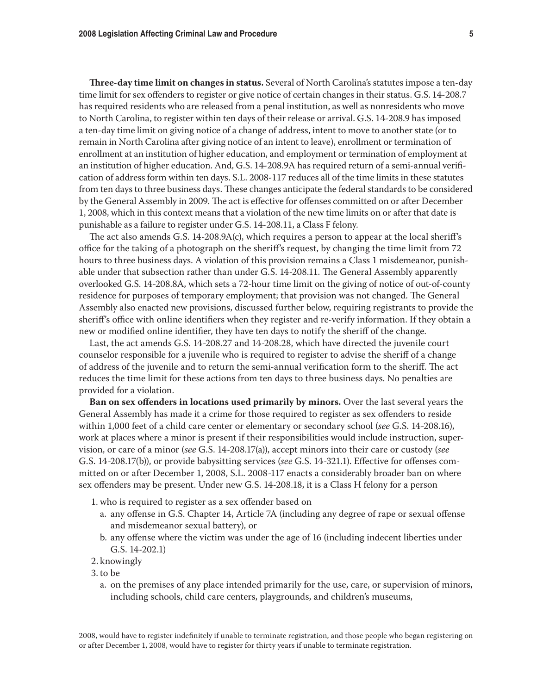**Three-day time limit on changes in status.** Several of North Carolina's statutes impose a ten-day time limit for sex offenders to register or give notice of certain changes in their status. G.S. 14-208.7 has required residents who are released from a penal institution, as well as nonresidents who move to North Carolina, to register within ten days of their release or arrival. G.S. 14-208.9 has imposed a ten-day time limit on giving notice of a change of address, intent to move to another state (or to remain in North Carolina after giving notice of an intent to leave), enrollment or termination of enrollment at an institution of higher education, and employment or termination of employment at an institution of higher education. And, G.S. 14-208.9A has required return of a semi-annual verification of address form within ten days. S.L. 2008-117 reduces all of the time limits in these statutes from ten days to three business days. These changes anticipate the federal standards to be considered by the General Assembly in 2009. The act is effective for offenses committed on or after December 1, 2008, which in this context means that a violation of the new time limits on or after that date is punishable as a failure to register under G.S. 14-208.11, a Class F felony.

The act also amends G.S. 14-208.9A(c), which requires a person to appear at the local sheriff's office for the taking of a photograph on the sheriff's request, by changing the time limit from 72 hours to three business days. A violation of this provision remains a Class 1 misdemeanor, punishable under that subsection rather than under G.S. 14-208.11. The General Assembly apparently overlooked G.S. 14-208.8A, which sets a 72-hour time limit on the giving of notice of out-of-county residence for purposes of temporary employment; that provision was not changed. The General Assembly also enacted new provisions, discussed further below, requiring registrants to provide the sheriff's office with online identifiers when they register and re-verify information. If they obtain a new or modified online identifier, they have ten days to notify the sheriff of the change.

Last, the act amends G.S. 14-208.27 and 14-208.28, which have directed the juvenile court counselor responsible for a juvenile who is required to register to advise the sheriff of a change of address of the juvenile and to return the semi-annual verification form to the sheriff. The act reduces the time limit for these actions from ten days to three business days. No penalties are provided for a violation.

**Ban on sex offenders in locations used primarily by minors.** Over the last several years the General Assembly has made it a crime for those required to register as sex offenders to reside within 1,000 feet of a child care center or elementary or secondary school (*see* G.S. 14-208.16), work at places where a minor is present if their responsibilities would include instruction, supervision, or care of a minor (*see* G.S. 14-208.17(a)), accept minors into their care or custody (*see*  G.S. 14-208.17(b)), or provide babysitting services (*see* G.S. 14-321.1). Effective for offenses committed on or after December 1, 2008, S.L. 2008-117 enacts a considerably broader ban on where sex offenders may be present. Under new G.S. 14-208.18, it is a Class H felony for a person

- 1. who is required to register as a sex offender based on
	- a. any offense in G.S. Chapter 14, Article 7A (including any degree of rape or sexual offense and misdemeanor sexual battery), or
	- b. any offense where the victim was under the age of 16 (including indecent liberties under G.S. 14-202.1)
- 2. knowingly
- 3. to be
	- a. on the premises of any place intended primarily for the use, care, or supervision of minors, including schools, child care centers, playgrounds, and children's museums,

<sup>2008,</sup> would have to register indefinitely if unable to terminate registration, and those people who began registering on or after December 1, 2008, would have to register for thirty years if unable to terminate registration.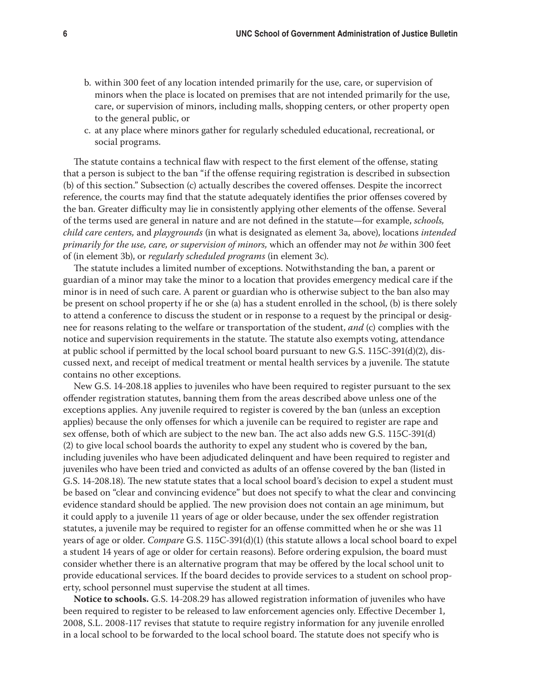- b. within 300 feet of any location intended primarily for the use, care, or supervision of minors when the place is located on premises that are not intended primarily for the use, care, or supervision of minors, including malls, shopping centers, or other property open to the general public, or
- c. at any place where minors gather for regularly scheduled educational, recreational, or social programs.

The statute contains a technical flaw with respect to the first element of the offense, stating that a person is subject to the ban "if the offense requiring registration is described in subsection (b) of this section." Subsection (c) actually describes the covered offenses. Despite the incorrect reference, the courts may find that the statute adequately identifies the prior offenses covered by the ban. Greater difficulty may lie in consistently applying other elements of the offense. Several of the terms used are general in nature and are not defined in the statute—for example, *schools, child care centers,* and *playgrounds* (in what is designated as element 3a, above), locations *intended primarily for the use, care, or supervision of minors,* which an offender may not *be* within 300 feet of (in element 3b), or *regularly scheduled programs* (in element 3c).

The statute includes a limited number of exceptions. Notwithstanding the ban, a parent or guardian of a minor may take the minor to a location that provides emergency medical care if the minor is in need of such care. A parent or guardian who is otherwise subject to the ban also may be present on school property if he or she (a) has a student enrolled in the school, (b) is there solely to attend a conference to discuss the student or in response to a request by the principal or designee for reasons relating to the welfare or transportation of the student, *and* (c) complies with the notice and supervision requirements in the statute. The statute also exempts voting, attendance at public school if permitted by the local school board pursuant to new G.S. 115C-391(d)(2), discussed next, and receipt of medical treatment or mental health services by a juvenile. The statute contains no other exceptions.

New G.S. 14-208.18 applies to juveniles who have been required to register pursuant to the sex offender registration statutes, banning them from the areas described above unless one of the exceptions applies. Any juvenile required to register is covered by the ban (unless an exception applies) because the only offenses for which a juvenile can be required to register are rape and sex offense, both of which are subject to the new ban. The act also adds new G.S. 115C-391(d) (2) to give local school boards the authority to expel any student who is covered by the ban, including juveniles who have been adjudicated delinquent and have been required to register and juveniles who have been tried and convicted as adults of an offense covered by the ban (listed in G.S. 14-208.18). The new statute states that a local school board's decision to expel a student must be based on "clear and convincing evidence" but does not specify to what the clear and convincing evidence standard should be applied. The new provision does not contain an age minimum, but it could apply to a juvenile 11 years of age or older because, under the sex offender registration statutes, a juvenile may be required to register for an offense committed when he or she was 11 years of age or older. *Compare* G.S. 115C-391(d)(1) (this statute allows a local school board to expel a student 14 years of age or older for certain reasons). Before ordering expulsion, the board must consider whether there is an alternative program that may be offered by the local school unit to provide educational services. If the board decides to provide services to a student on school property, school personnel must supervise the student at all times.

**Notice to schools.** G.S. 14-208.29 has allowed registration information of juveniles who have been required to register to be released to law enforcement agencies only. Effective December 1, 2008, S.L. 2008-117 revises that statute to require registry information for any juvenile enrolled in a local school to be forwarded to the local school board. The statute does not specify who is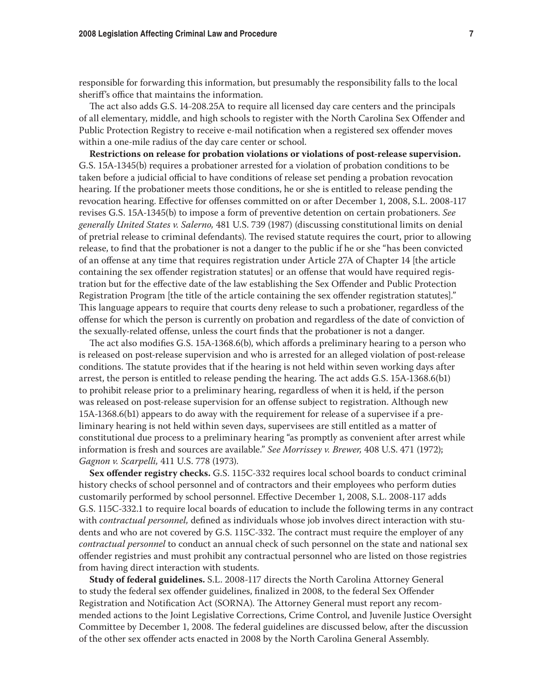responsible for forwarding this information, but presumably the responsibility falls to the local sheriff's office that maintains the information.

The act also adds G.S. 14-208.25A to require all licensed day care centers and the principals of all elementary, middle, and high schools to register with the North Carolina Sex Offender and Public Protection Registry to receive e-mail notification when a registered sex offender moves within a one-mile radius of the day care center or school.

**Restrictions on release for probation violations or violations of post-release supervision.**  G.S. 15A-1345(b) requires a probationer arrested for a violation of probation conditions to be taken before a judicial official to have conditions of release set pending a probation revocation hearing. If the probationer meets those conditions, he or she is entitled to release pending the revocation hearing. Effective for offenses committed on or after December 1, 2008, S.L. 2008-117 revises G.S. 15A-1345(b) to impose a form of preventive detention on certain probationers. *See generally United States v. Salerno,* 481 U.S. 739 (1987) (discussing constitutional limits on denial of pretrial release to criminal defendants). The revised statute requires the court, prior to allowing release, to find that the probationer is not a danger to the public if he or she "has been convicted of an offense at any time that requires registration under Article 27A of Chapter 14 [the article containing the sex offender registration statutes] or an offense that would have required registration but for the effective date of the law establishing the Sex Offender and Public Protection Registration Program [the title of the article containing the sex offender registration statutes]." This language appears to require that courts deny release to such a probationer, regardless of the offense for which the person is currently on probation and regardless of the date of conviction of the sexually-related offense, unless the court finds that the probationer is not a danger.

The act also modifies G.S. 15A-1368.6(b), which affords a preliminary hearing to a person who is released on post-release supervision and who is arrested for an alleged violation of post-release conditions. The statute provides that if the hearing is not held within seven working days after arrest, the person is entitled to release pending the hearing. The act adds G.S. 15A-1368.6(b1) to prohibit release prior to a preliminary hearing, regardless of when it is held, if the person was released on post-release supervision for an offense subject to registration. Although new 15A-1368.6(b1) appears to do away with the requirement for release of a supervisee if a preliminary hearing is not held within seven days, supervisees are still entitled as a matter of constitutional due process to a preliminary hearing "as promptly as convenient after arrest while information is fresh and sources are available." *See Morrissey v. Brewer,* 408 U.S. 471 (1972); *Gagnon v. Scarpelli,* 411 U.S. 778 (1973).

**Sex offender registry checks.** G.S. 115C-332 requires local school boards to conduct criminal history checks of school personnel and of contractors and their employees who perform duties customarily performed by school personnel. Effective December 1, 2008, S.L. 2008-117 adds G.S. 115C-332.1 to require local boards of education to include the following terms in any contract with *contractual personnel,* defined as individuals whose job involves direct interaction with students and who are not covered by G.S. 115C-332. The contract must require the employer of any *contractual personnel* to conduct an annual check of such personnel on the state and national sex offender registries and must prohibit any contractual personnel who are listed on those registries from having direct interaction with students.

**Study of federal guidelines.** S.L. 2008-117 directs the North Carolina Attorney General to study the federal sex offender guidelines, finalized in 2008, to the federal Sex Offender Registration and Notification Act (SORNA). The Attorney General must report any recommended actions to the Joint Legislative Corrections, Crime Control, and Juvenile Justice Oversight Committee by December 1, 2008. The federal guidelines are discussed below, after the discussion of the other sex offender acts enacted in 2008 by the North Carolina General Assembly.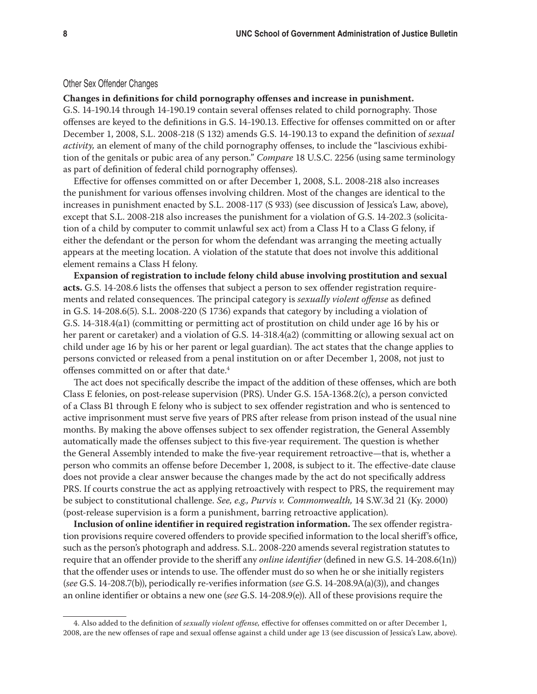## Other Sex Offender Changes

## **Changes in definitions for child pornography offenses and increase in punishment.**

G.S. 14-190.14 through 14-190.19 contain several offenses related to child pornography. Those offenses are keyed to the definitions in G.S. 14-190.13. Effective for offenses committed on or after December 1, 2008, S.L. 2008-218 (S 132) amends G.S. 14-190.13 to expand the definition of *sexual activity,* an element of many of the child pornography offenses, to include the "lascivious exhibition of the genitals or pubic area of any person." *Compare* 18 U.S.C. 2256 (using same terminology as part of definition of federal child pornography offenses).

Effective for offenses committed on or after December 1, 2008, S.L. 2008-218 also increases the punishment for various offenses involving children. Most of the changes are identical to the increases in punishment enacted by S.L. 2008-117 (S 933) (see discussion of Jessica's Law, above), except that S.L. 2008-218 also increases the punishment for a violation of G.S. 14-202.3 (solicitation of a child by computer to commit unlawful sex act) from a Class H to a Class G felony, if either the defendant or the person for whom the defendant was arranging the meeting actually appears at the meeting location. A violation of the statute that does not involve this additional element remains a Class H felony.

**Expansion of registration to include felony child abuse involving prostitution and sexual acts.** G.S. 14-208.6 lists the offenses that subject a person to sex offender registration requirements and related consequences. The principal category is *sexually violent offense* as defined in G.S. 14-208.6(5). S.L. 2008-220 (S 1736) expands that category by including a violation of G.S. 14-318.4(a1) (committing or permitting act of prostitution on child under age 16 by his or her parent or caretaker) and a violation of G.S. 14-318.4(a2) (committing or allowing sexual act on child under age 16 by his or her parent or legal guardian). The act states that the change applies to persons convicted or released from a penal institution on or after December 1, 2008, not just to offenses committed on or after that date.4

The act does not specifically describe the impact of the addition of these offenses, which are both Class E felonies, on post-release supervision (PRS). Under G.S. 15A-1368.2(c), a person convicted of a Class B1 through E felony who is subject to sex offender registration and who is sentenced to active imprisonment must serve five years of PRS after release from prison instead of the usual nine months. By making the above offenses subject to sex offender registration, the General Assembly automatically made the offenses subject to this five-year requirement. The question is whether the General Assembly intended to make the five-year requirement retroactive—that is, whether a person who commits an offense before December 1, 2008, is subject to it. The effective-date clause does not provide a clear answer because the changes made by the act do not specifically address PRS. If courts construe the act as applying retroactively with respect to PRS, the requirement may be subject to constitutional challenge. *See, e.g., Purvis v. Commonwealth,* 14 S.W.3d 21 (Ky. 2000) (post-release supervision is a form a punishment, barring retroactive application).

**Inclusion of online identifier in required registration information.** The sex offender registration provisions require covered offenders to provide specified information to the local sheriff's office, such as the person's photograph and address. S.L. 2008-220 amends several registration statutes to require that an offender provide to the sheriff any *online identifier* (defined in new G.S. 14-208.6(1n)) that the offender uses or intends to use. The offender must do so when he or she initially registers (*see* G.S. 14-208.7(b)), periodically re-verifies information (*see* G.S. 14-208.9A(a)(3)), and changes an online identifier or obtains a new one (*see* G.S. 14-208.9(e)). All of these provisions require the

<sup>4.</sup> Also added to the definition of *sexually violent offense,* effective for offenses committed on or after December 1, 2008, are the new offenses of rape and sexual offense against a child under age 13 (see discussion of Jessica's Law, above).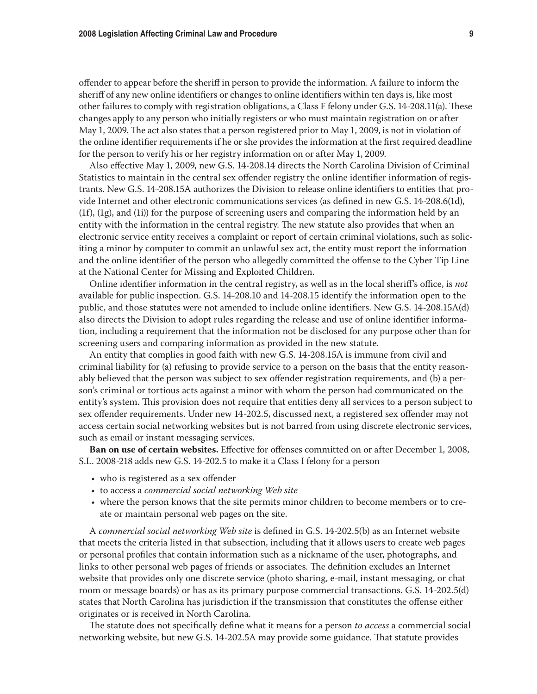offender to appear before the sheriff in person to provide the information. A failure to inform the sheriff of any new online identifiers or changes to online identifiers within ten days is, like most other failures to comply with registration obligations, a Class F felony under G.S. 14-208.11(a). These changes apply to any person who initially registers or who must maintain registration on or after May 1, 2009. The act also states that a person registered prior to May 1, 2009, is not in violation of the online identifier requirements if he or she provides the information at the first required deadline for the person to verify his or her registry information on or after May 1, 2009.

Also effective May 1, 2009, new G.S. 14-208.14 directs the North Carolina Division of Criminal Statistics to maintain in the central sex offender registry the online identifier information of registrants. New G.S. 14-208.15A authorizes the Division to release online identifiers to entities that provide Internet and other electronic communications services (as defined in new G.S. 14-208.6(1d), (1f), (1g), and (1i)) for the purpose of screening users and comparing the information held by an entity with the information in the central registry. The new statute also provides that when an electronic service entity receives a complaint or report of certain criminal violations, such as soliciting a minor by computer to commit an unlawful sex act, the entity must report the information and the online identifier of the person who allegedly committed the offense to the Cyber Tip Line at the National Center for Missing and Exploited Children.

Online identifier information in the central registry, as well as in the local sheriff's office, is *not*  available for public inspection. G.S. 14-208.10 and 14-208.15 identify the information open to the public, and those statutes were not amended to include online identifiers. New G.S. 14-208.15A(d) also directs the Division to adopt rules regarding the release and use of online identifier information, including a requirement that the information not be disclosed for any purpose other than for screening users and comparing information as provided in the new statute.

An entity that complies in good faith with new G.S. 14-208.15A is immune from civil and criminal liability for (a) refusing to provide service to a person on the basis that the entity reasonably believed that the person was subject to sex offender registration requirements, and (b) a person's criminal or tortious acts against a minor with whom the person had communicated on the entity's system. This provision does not require that entities deny all services to a person subject to sex offender requirements. Under new 14-202.5, discussed next, a registered sex offender may not access certain social networking websites but is not barred from using discrete electronic services, such as email or instant messaging services.

**Ban on use of certain websites.** Effective for offenses committed on or after December 1, 2008, S.L. 2008-218 adds new G.S. 14-202.5 to make it a Class I felony for a person

- who is registered as a sex offender
- • to access a *commercial social networking Web site*
- • where the person knows that the site permits minor children to become members or to create or maintain personal web pages on the site.

A *commercial social networking Web site* is defined in G.S. 14-202.5(b) as an Internet website that meets the criteria listed in that subsection, including that it allows users to create web pages or personal profiles that contain information such as a nickname of the user, photographs, and links to other personal web pages of friends or associates. The definition excludes an Internet website that provides only one discrete service (photo sharing, e-mail, instant messaging, or chat room or message boards) or has as its primary purpose commercial transactions. G.S. 14-202.5(d) states that North Carolina has jurisdiction if the transmission that constitutes the offense either originates or is received in North Carolina.

The statute does not specifically define what it means for a person *to access* a commercial social networking website, but new G.S. 14-202.5A may provide some guidance. That statute provides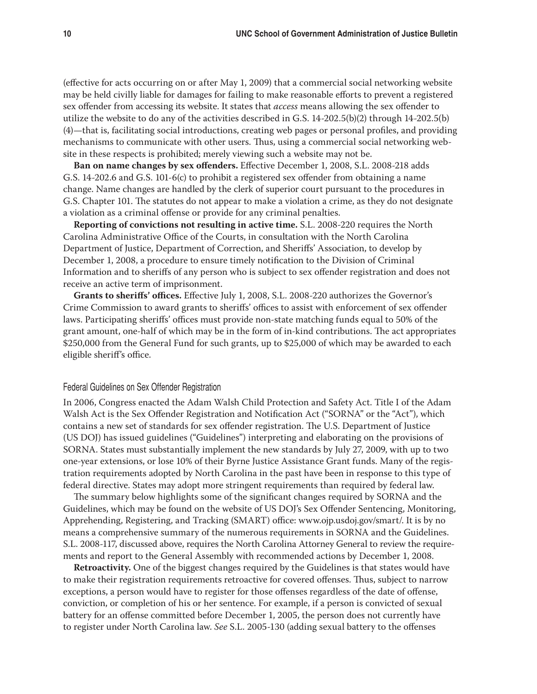(effective for acts occurring on or after May 1, 2009) that a commercial social networking website may be held civilly liable for damages for failing to make reasonable efforts to prevent a registered sex offender from accessing its website. It states that *access* means allowing the sex offender to utilize the website to do any of the activities described in G.S. 14-202.5(b)(2) through 14-202.5(b) (4)—that is, facilitating social introductions, creating web pages or personal profiles, and providing mechanisms to communicate with other users. Thus, using a commercial social networking website in these respects is prohibited; merely viewing such a website may not be.

**Ban on name changes by sex offenders.** Effective December 1, 2008, S.L. 2008-218 adds G.S. 14-202.6 and G.S. 101-6(c) to prohibit a registered sex offender from obtaining a name change. Name changes are handled by the clerk of superior court pursuant to the procedures in G.S. Chapter 101. The statutes do not appear to make a violation a crime, as they do not designate a violation as a criminal offense or provide for any criminal penalties.

**Reporting of convictions not resulting in active time.** S.L. 2008-220 requires the North Carolina Administrative Office of the Courts, in consultation with the North Carolina Department of Justice, Department of Correction, and Sheriffs' Association, to develop by December 1, 2008, a procedure to ensure timely notification to the Division of Criminal Information and to sheriffs of any person who is subject to sex offender registration and does not receive an active term of imprisonment.

**Grants to sheriffs' offices.** Effective July 1, 2008, S.L. 2008-220 authorizes the Governor's Crime Commission to award grants to sheriffs' offices to assist with enforcement of sex offender laws. Participating sheriffs' offices must provide non-state matching funds equal to 50% of the grant amount, one-half of which may be in the form of in-kind contributions. The act appropriates \$250,000 from the General Fund for such grants, up to \$25,000 of which may be awarded to each eligible sheriff's office.

## Federal Guidelines on Sex Offender Registration

In 2006, Congress enacted the Adam Walsh Child Protection and Safety Act. Title I of the Adam Walsh Act is the Sex Offender Registration and Notification Act ("SORNA" or the "Act"), which contains a new set of standards for sex offender registration. The U.S. Department of Justice (US DOJ) has issued guidelines ("Guidelines") interpreting and elaborating on the provisions of SORNA. States must substantially implement the new standards by July 27, 2009, with up to two one-year extensions, or lose 10% of their Byrne Justice Assistance Grant funds. Many of the registration requirements adopted by North Carolina in the past have been in response to this type of federal directive. States may adopt more stringent requirements than required by federal law.

The summary below highlights some of the significant changes required by SORNA and the Guidelines, which may be found on the website of US DOJ's Sex Offender Sentencing, Monitoring, Apprehending, Registering, and Tracking (SMART) office: www.ojp.usdoj.gov/smart/. It is by no means a comprehensive summary of the numerous requirements in SORNA and the Guidelines. S.L. 2008-117, discussed above, requires the North Carolina Attorney General to review the requirements and report to the General Assembly with recommended actions by December 1, 2008.

**Retroactivity.** One of the biggest changes required by the Guidelines is that states would have to make their registration requirements retroactive for covered offenses. Thus, subject to narrow exceptions, a person would have to register for those offenses regardless of the date of offense, conviction, or completion of his or her sentence. For example, if a person is convicted of sexual battery for an offense committed before December 1, 2005, the person does not currently have to register under North Carolina law. *See* S.L. 2005-130 (adding sexual battery to the offenses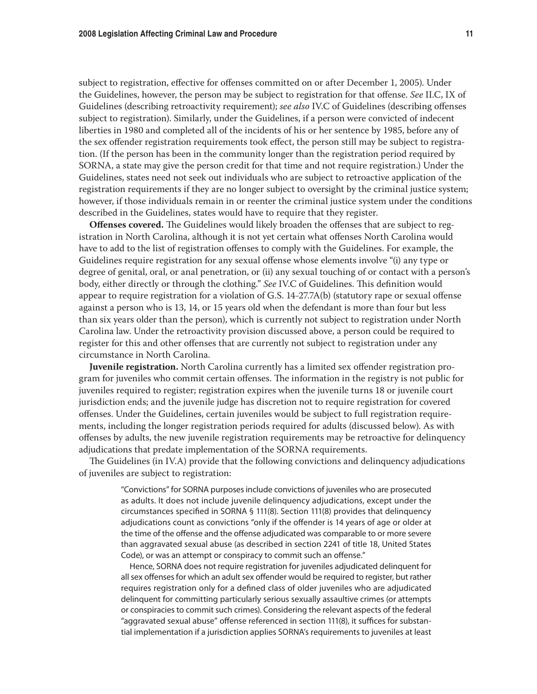subject to registration, effective for offenses committed on or after December 1, 2005). Under the Guidelines, however, the person may be subject to registration for that offense. *See* II.C, IX of Guidelines (describing retroactivity requirement); *see also* IV.C of Guidelines (describing offenses subject to registration). Similarly, under the Guidelines, if a person were convicted of indecent liberties in 1980 and completed all of the incidents of his or her sentence by 1985, before any of the sex offender registration requirements took effect, the person still may be subject to registration. (If the person has been in the community longer than the registration period required by SORNA, a state may give the person credit for that time and not require registration.) Under the Guidelines, states need not seek out individuals who are subject to retroactive application of the registration requirements if they are no longer subject to oversight by the criminal justice system; however, if those individuals remain in or reenter the criminal justice system under the conditions described in the Guidelines, states would have to require that they register.

**Offenses covered.** The Guidelines would likely broaden the offenses that are subject to registration in North Carolina, although it is not yet certain what offenses North Carolina would have to add to the list of registration offenses to comply with the Guidelines. For example, the Guidelines require registration for any sexual offense whose elements involve "(i) any type or degree of genital, oral, or anal penetration, or (ii) any sexual touching of or contact with a person's body, either directly or through the clothing." *See* IV.C of Guidelines. This definition would appear to require registration for a violation of G.S. 14-27.7A(b) (statutory rape or sexual offense against a person who is 13, 14, or 15 years old when the defendant is more than four but less than six years older than the person), which is currently not subject to registration under North Carolina law. Under the retroactivity provision discussed above, a person could be required to register for this and other offenses that are currently not subject to registration under any circumstance in North Carolina.

**Juvenile registration.** North Carolina currently has a limited sex offender registration program for juveniles who commit certain offenses. The information in the registry is not public for juveniles required to register; registration expires when the juvenile turns 18 or juvenile court jurisdiction ends; and the juvenile judge has discretion not to require registration for covered offenses. Under the Guidelines, certain juveniles would be subject to full registration requirements, including the longer registration periods required for adults (discussed below). As with offenses by adults, the new juvenile registration requirements may be retroactive for delinquency adjudications that predate implementation of the SORNA requirements.

The Guidelines (in IV.A) provide that the following convictions and delinquency adjudications of juveniles are subject to registration:

> "Convictions" for SORNA purposes include convictions of juveniles who are prosecuted as adults. It does not include juvenile delinquency adjudications, except under the circumstances specified in SORNA § 111(8). Section 111(8) provides that delinquency adjudications count as convictions "only if the offender is 14 years of age or older at the time of the offense and the offense adjudicated was comparable to or more severe than aggravated sexual abuse (as described in section 2241 of title 18, United States Code), or was an attempt or conspiracy to commit such an offense."

> Hence, SORNA does not require registration for juveniles adjudicated delinquent for all sex offenses for which an adult sex offender would be required to register, but rather requires registration only for a defined class of older juveniles who are adjudicated delinquent for committing particularly serious sexually assaultive crimes (or attempts or conspiracies to commit such crimes). Considering the relevant aspects of the federal "aggravated sexual abuse" offense referenced in section 111(8), it suffices for substantial implementation if a jurisdiction applies SORNA's requirements to juveniles at least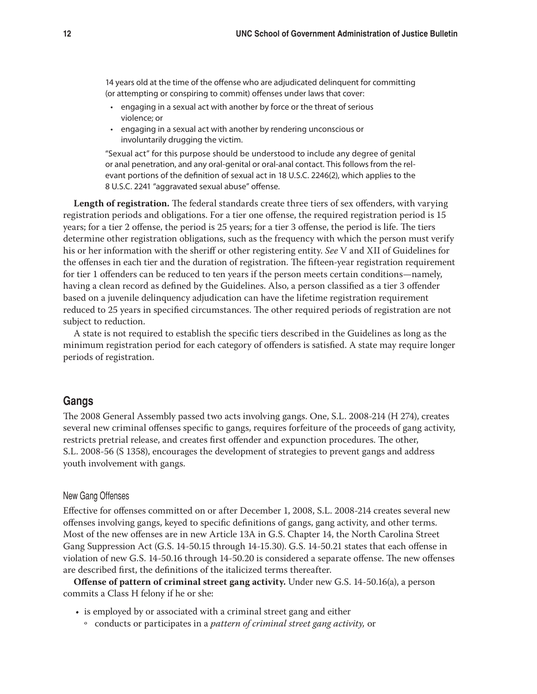14 years old at the time of the offense who are adjudicated delinquent for committing (or attempting or conspiring to commit) offenses under laws that cover:

- • engaging in a sexual act with another by force or the threat of serious violence; or
- engaging in a sexual act with another by rendering unconscious or involuntarily drugging the victim.

"Sexual act" for this purpose should be understood to include any degree of genital or anal penetration, and any oral-genital or oral-anal contact. This follows from the relevant portions of the definition of sexual act in 18 U.S.C. 2246(2), which applies to the 8 U.S.C. 2241 "aggravated sexual abuse" offense.

**Length of registration.** The federal standards create three tiers of sex offenders, with varying registration periods and obligations. For a tier one offense, the required registration period is 15 years; for a tier 2 offense, the period is 25 years; for a tier 3 offense, the period is life. The tiers determine other registration obligations, such as the frequency with which the person must verify his or her information with the sheriff or other registering entity. *See* V and XII of Guidelines for the offenses in each tier and the duration of registration. The fifteen-year registration requirement for tier 1 offenders can be reduced to ten years if the person meets certain conditions—namely, having a clean record as defined by the Guidelines. Also, a person classified as a tier 3 offender based on a juvenile delinquency adjudication can have the lifetime registration requirement reduced to 25 years in specified circumstances. The other required periods of registration are not subject to reduction.

A state is not required to establish the specific tiers described in the Guidelines as long as the minimum registration period for each category of offenders is satisfied. A state may require longer periods of registration.

# **Gangs**

The 2008 General Assembly passed two acts involving gangs. One, S.L. 2008-214 (H 274), creates several new criminal offenses specific to gangs, requires forfeiture of the proceeds of gang activity, restricts pretrial release, and creates first offender and expunction procedures. The other, S.L. 2008-56 (S 1358), encourages the development of strategies to prevent gangs and address youth involvement with gangs.

# New Gang Offenses

Effective for offenses committed on or after December 1, 2008, S.L. 2008-214 creates several new offenses involving gangs, keyed to specific definitions of gangs, gang activity, and other terms. Most of the new offenses are in new Article 13A in G.S. Chapter 14, the North Carolina Street Gang Suppression Act (G.S. 14-50.15 through 14-15.30). G.S. 14-50.21 states that each offense in violation of new G.S. 14-50.16 through 14-50.20 is considered a separate offense. The new offenses are described first, the definitions of the italicized terms thereafter.

**Offense of pattern of criminal street gang activity.** Under new G.S. 14-50.16(a), a person commits a Class H felony if he or she:

- is employed by or associated with a criminal street gang and either
	- o conducts or participates in a *pattern of criminal street gang activity,* or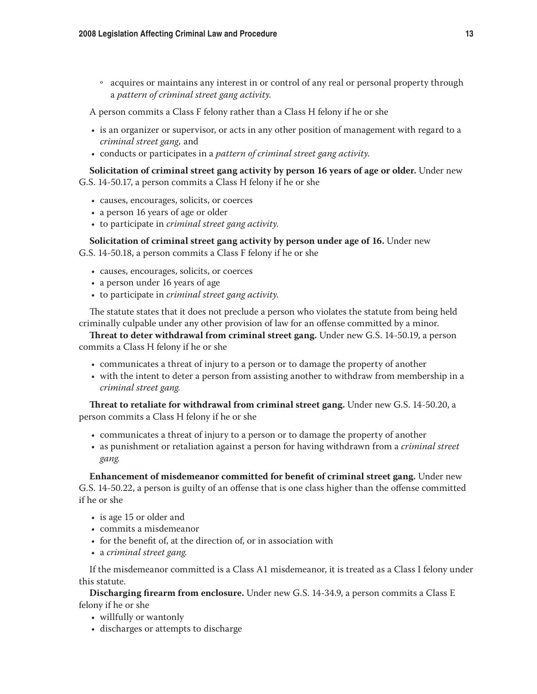o acquires or maintains any interest in or control of any real or personal property through a *pattern of criminal street gang activity.*

A person commits a Class F felony rather than a Class H felony if he or she

- is an organizer or supervisor, or acts in any other position of management with regard to a *criminal street gang,* and
- • conducts or participates in a *pattern of criminal street gang activity.*

# **Solicitation of criminal street gang activity by person 16 years of age or older.** Under new G.S. 14-50.17, a person commits a Class H felony if he or she

- • causes, encourages, solicits, or coerces
- a person 16 years of age or older
- • to participate in *criminal street gang activity.*

**Solicitation of criminal street gang activity by person under age of 16.** Under new

G.S. 14-50.18, a person commits a Class F felony if he or she

- • causes, encourages, solicits, or coerces
- a person under 16 years of age
- • to participate in *criminal street gang activity.*

The statute states that it does not preclude a person who violates the statute from being held criminally culpable under any other provision of law for an offense committed by a minor.

**Threat to deter withdrawal from criminal street gang.** Under new G.S. 14-50.19, a person commits a Class H felony if he or she

- • communicates a threat of injury to a person or to damage the property of another
- • with the intent to deter a person from assisting another to withdraw from membership in a *criminal street gang.*

**Threat to retaliate for withdrawal from criminal street gang.** Under new G.S. 14-50.20, a person commits a Class H felony if he or she

- • communicates a threat of injury to a person or to damage the property of another
- • as punishment or retaliation against a person for having withdrawn from a *criminal street gang.*

**Enhancement of misdemeanor committed for benefit of criminal street gang.** Under new

G.S. 14-50.22, a person is guilty of an offense that is one class higher than the offense committed if he or she

- is age 15 or older and
- • commits a misdemeanor
- for the benefit of, at the direction of, or in association with
- • a *criminal street gang.*

If the misdemeanor committed is a Class A1 misdemeanor, it is treated as a Class I felony under this statute.

**Discharging firearm from enclosure.** Under new G.S. 14-34.9, a person commits a Class E felony if he or she

- • willfully or wantonly
- • discharges or attempts to discharge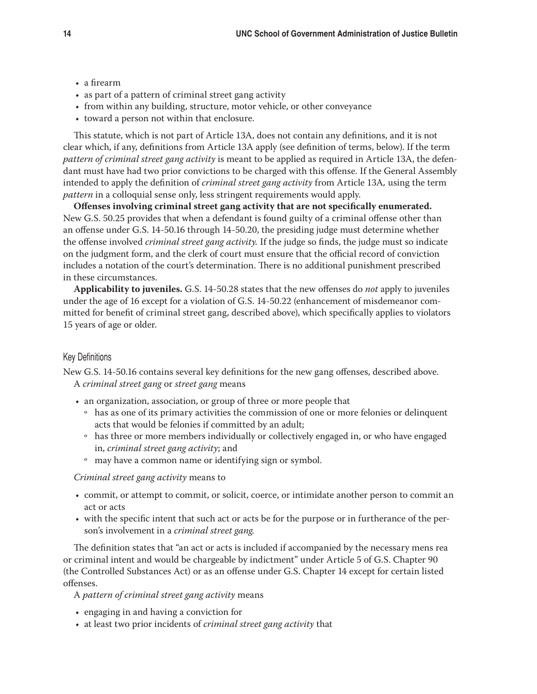- • a firearm
- as part of a pattern of criminal street gang activity
- from within any building, structure, motor vehicle, or other conveyance
- • toward a person not within that enclosure.

This statute, which is not part of Article 13A, does not contain any definitions, and it is not clear which, if any, definitions from Article 13A apply (see definition of terms, below). If the term *pattern of criminal street gang activity* is meant to be applied as required in Article 13A, the defendant must have had two prior convictions to be charged with this offense*.* If the General Assembly intended to apply the definition of *criminal street gang activity* from Article 13A*,* using the term *pattern* in a colloquial sense only, less stringent requirements would apply.

**Offenses involving criminal street gang activity that are not specifically enumerated.**  New G.S. 50.25 provides that when a defendant is found guilty of a criminal offense other than an offense under G.S. 14-50.16 through 14-50.20, the presiding judge must determine whether the offense involved *criminal street gang activity.* If the judge so finds, the judge must so indicate on the judgment form, and the clerk of court must ensure that the official record of conviction includes a notation of the court's determination. There is no additional punishment prescribed in these circumstances.

**Applicability to juveniles.** G.S. 14-50.28 states that the new offenses do *not* apply to juveniles under the age of 16 except for a violation of G.S. 14-50.22 (enhancement of misdemeanor committed for benefit of criminal street gang, described above), which specifically applies to violators 15 years of age or older.

## Key Definitions

New G.S. 14-50.16 contains several key definitions for the new gang offenses, described above. A *criminal street gang* or *street gang* means

- an organization, association, or group of three or more people that
	- o has as one of its primary activities the commission of one or more felonies or delinquent acts that would be felonies if committed by an adult;
	- o has three or more members individually or collectively engaged in, or who have engaged in, *criminal street gang activity*; and
	- o may have a common name or identifying sign or symbol.

*Criminal street gang activity* means to

- • commit, or attempt to commit, or solicit, coerce, or intimidate another person to commit an act or acts
- • with the specific intent that such act or acts be for the purpose or in furtherance of the person's involvement in a *criminal street gang.*

The definition states that "an act or acts is included if accompanied by the necessary mens rea or criminal intent and would be chargeable by indictment" under Article 5 of G.S. Chapter 90 (the Controlled Substances Act) or as an offense under G.S. Chapter 14 except for certain listed offenses.

A *pattern of criminal street gang activity* means

- engaging in and having a conviction for
- • at least two prior incidents of *criminal street gang activity* that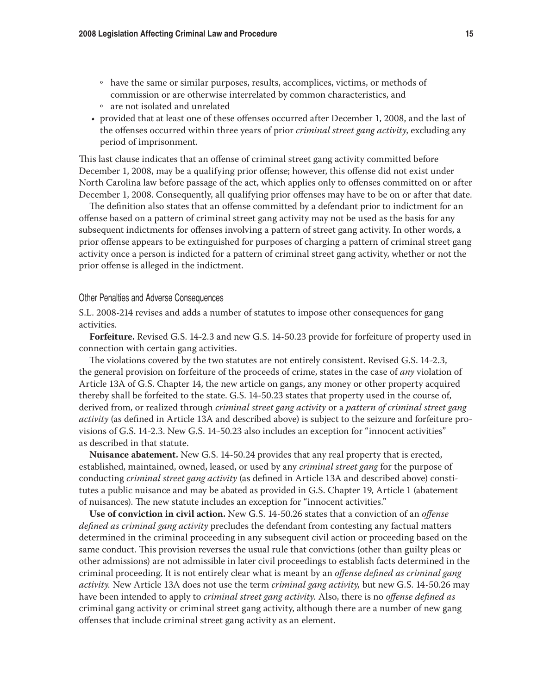- o have the same or similar purposes, results, accomplices, victims, or methods of commission or are otherwise interrelated by common characteristics, and
- o are not isolated and unrelated
- • provided that at least one of these offenses occurred after December 1, 2008, and the last of the offenses occurred within three years of prior *criminal street gang activity*, excluding any period of imprisonment.

This last clause indicates that an offense of criminal street gang activity committed before December 1, 2008, may be a qualifying prior offense; however, this offense did not exist under North Carolina law before passage of the act, which applies only to offenses committed on or after December 1, 2008. Consequently, all qualifying prior offenses may have to be on or after that date.

The definition also states that an offense committed by a defendant prior to indictment for an offense based on a pattern of criminal street gang activity may not be used as the basis for any subsequent indictments for offenses involving a pattern of street gang activity. In other words, a prior offense appears to be extinguished for purposes of charging a pattern of criminal street gang activity once a person is indicted for a pattern of criminal street gang activity, whether or not the prior offense is alleged in the indictment.

## Other Penalties and Adverse Consequences

S.L. 2008-214 revises and adds a number of statutes to impose other consequences for gang activities.

**Forfeiture.** Revised G.S. 14-2.3 and new G.S. 14-50.23 provide for forfeiture of property used in connection with certain gang activities.

The violations covered by the two statutes are not entirely consistent. Revised G.S. 14-2.3, the general provision on forfeiture of the proceeds of crime, states in the case of *any* violation of Article 13A of G.S. Chapter 14, the new article on gangs, any money or other property acquired thereby shall be forfeited to the state. G.S. 14-50.23 states that property used in the course of, derived from, or realized through *criminal street gang activity* or a *pattern of criminal street gang activity* (as defined in Article 13A and described above) is subject to the seizure and forfeiture provisions of G.S. 14-2.3. New G.S. 14-50.23 also includes an exception for "innocent activities" as described in that statute.

**Nuisance abatement.** New G.S. 14-50.24 provides that any real property that is erected, established, maintained, owned, leased, or used by any *criminal street gang* for the purpose of conducting *criminal street gang activity* (as defined in Article 13A and described above) constitutes a public nuisance and may be abated as provided in G.S. Chapter 19, Article 1 (abatement of nuisances). The new statute includes an exception for "innocent activities."

**Use of conviction in civil action.** New G.S. 14-50.26 states that a conviction of an *offense defined as criminal gang activity* precludes the defendant from contesting any factual matters determined in the criminal proceeding in any subsequent civil action or proceeding based on the same conduct. This provision reverses the usual rule that convictions (other than guilty pleas or other admissions) are not admissible in later civil proceedings to establish facts determined in the criminal proceeding. It is not entirely clear what is meant by an *offense defined as criminal gang activity.* New Article 13A does not use the term *criminal gang activity,* but new G.S. 14-50.26 may have been intended to apply to *criminal street gang activity.* Also, there is no *offense defined as*  criminal gang activity or criminal street gang activity, although there are a number of new gang offenses that include criminal street gang activity as an element.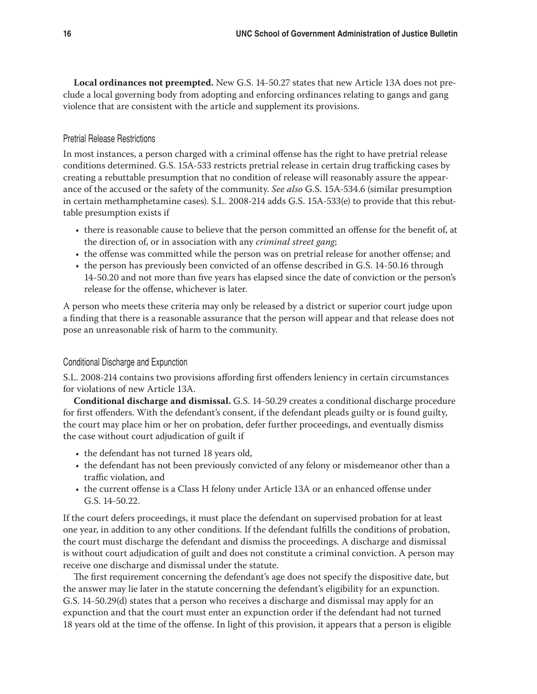**Local ordinances not preempted.** New G.S. 14-50.27 states that new Article 13A does not preclude a local governing body from adopting and enforcing ordinances relating to gangs and gang violence that are consistent with the article and supplement its provisions.

# Pretrial Release Restrictions

In most instances, a person charged with a criminal offense has the right to have pretrial release conditions determined. G.S. 15A-533 restricts pretrial release in certain drug trafficking cases by creating a rebuttable presumption that no condition of release will reasonably assure the appearance of the accused or the safety of the community. *See also* G.S. 15A-534.6 (similar presumption in certain methamphetamine cases). S.L. 2008-214 adds G.S. 15A-533(e) to provide that this rebuttable presumption exists if

- • there is reasonable cause to believe that the person committed an offense for the benefit of, at the direction of, or in association with any *criminal street gang*;
- the offense was committed while the person was on pretrial release for another offense; and
- the person has previously been convicted of an offense described in G.S. 14-50.16 through 14-50.20 and not more than five years has elapsed since the date of conviction or the person's release for the offense, whichever is later.

A person who meets these criteria may only be released by a district or superior court judge upon a finding that there is a reasonable assurance that the person will appear and that release does not pose an unreasonable risk of harm to the community.

# Conditional Discharge and Expunction

S.L. 2008-214 contains two provisions affording first offenders leniency in certain circumstances for violations of new Article 13A.

**Conditional discharge and dismissal.** G.S. 14-50.29 creates a conditional discharge procedure for first offenders. With the defendant's consent, if the defendant pleads guilty or is found guilty, the court may place him or her on probation, defer further proceedings, and eventually dismiss the case without court adjudication of guilt if

- the defendant has not turned 18 years old,
- the defendant has not been previously convicted of any felony or misdemeanor other than a traffic violation, and
- • the current offense is a Class H felony under Article 13A or an enhanced offense under G.S. 14-50.22.

If the court defers proceedings, it must place the defendant on supervised probation for at least one year, in addition to any other conditions. If the defendant fulfills the conditions of probation, the court must discharge the defendant and dismiss the proceedings. A discharge and dismissal is without court adjudication of guilt and does not constitute a criminal conviction. A person may receive one discharge and dismissal under the statute.

The first requirement concerning the defendant's age does not specify the dispositive date, but the answer may lie later in the statute concerning the defendant's eligibility for an expunction. G.S. 14-50.29(d) states that a person who receives a discharge and dismissal may apply for an expunction and that the court must enter an expunction order if the defendant had not turned 18 years old at the time of the offense. In light of this provision, it appears that a person is eligible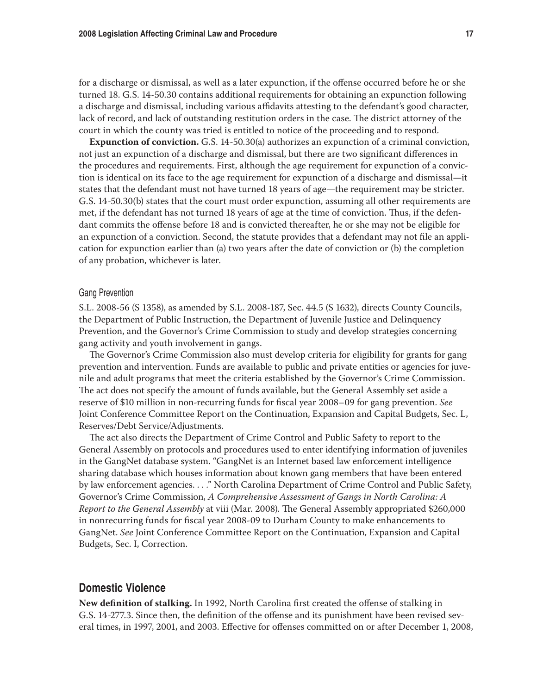for a discharge or dismissal, as well as a later expunction, if the offense occurred before he or she turned 18. G.S. 14-50.30 contains additional requirements for obtaining an expunction following a discharge and dismissal, including various affidavits attesting to the defendant's good character, lack of record, and lack of outstanding restitution orders in the case. The district attorney of the court in which the county was tried is entitled to notice of the proceeding and to respond.

**Expunction of conviction.** G.S. 14-50.30(a) authorizes an expunction of a criminal conviction, not just an expunction of a discharge and dismissal, but there are two significant differences in the procedures and requirements. First, although the age requirement for expunction of a conviction is identical on its face to the age requirement for expunction of a discharge and dismissal—it states that the defendant must not have turned 18 years of age—the requirement may be stricter. G.S. 14-50.30(b) states that the court must order expunction, assuming all other requirements are met, if the defendant has not turned 18 years of age at the time of conviction. Thus, if the defendant commits the offense before 18 and is convicted thereafter, he or she may not be eligible for an expunction of a conviction. Second, the statute provides that a defendant may not file an application for expunction earlier than (a) two years after the date of conviction or (b) the completion of any probation, whichever is later.

#### Gang Prevention

S.L. 2008-56 (S 1358), as amended by S.L. 2008-187, Sec. 44.5 (S 1632), directs County Councils, the Department of Public Instruction, the Department of Juvenile Justice and Delinquency Prevention, and the Governor's Crime Commission to study and develop strategies concerning gang activity and youth involvement in gangs.

The Governor's Crime Commission also must develop criteria for eligibility for grants for gang prevention and intervention. Funds are available to public and private entities or agencies for juvenile and adult programs that meet the criteria established by the Governor's Crime Commission. The act does not specify the amount of funds available, but the General Assembly set aside a reserve of \$10 million in non-recurring funds for fiscal year 2008–09 for gang prevention. *See*  Joint Conference Committee Report on the Continuation, Expansion and Capital Budgets, Sec. L, Reserves/Debt Service/Adjustments.

The act also directs the Department of Crime Control and Public Safety to report to the General Assembly on protocols and procedures used to enter identifying information of juveniles in the GangNet database system. "GangNet is an Internet based law enforcement intelligence sharing database which houses information about known gang members that have been entered by law enforcement agencies. . . ." North Carolina Department of Crime Control and Public Safety, Governor's Crime Commission, *A Comprehensive Assessment of Gangs in North Carolina: A Report to the General Assembly* at viii (Mar. 2008). The General Assembly appropriated \$260,000 in nonrecurring funds for fiscal year 2008-09 to Durham County to make enhancements to GangNet. *See* Joint Conference Committee Report on the Continuation, Expansion and Capital Budgets, Sec. I, Correction.

# **Domestic Violence**

**New definition of stalking.** In 1992, North Carolina first created the offense of stalking in G.S. 14-277.3. Since then, the definition of the offense and its punishment have been revised several times, in 1997, 2001, and 2003. Effective for offenses committed on or after December 1, 2008,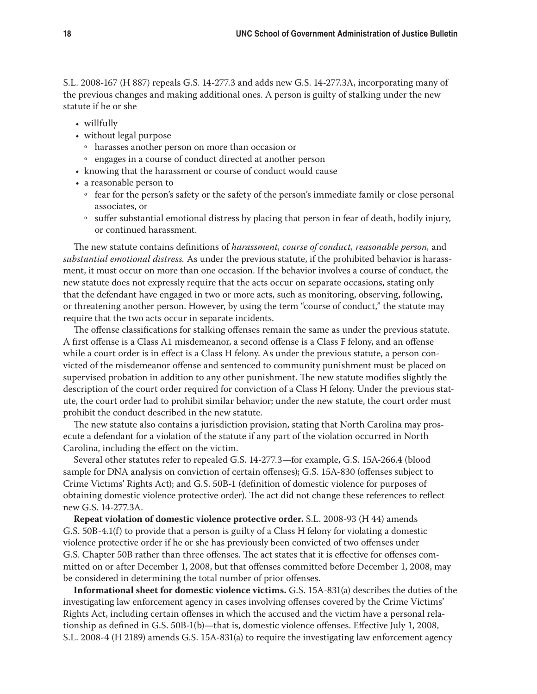S.L. 2008-167 (H 887) repeals G.S. 14-277.3 and adds new G.S. 14-277.3A, incorporating many of the previous changes and making additional ones. A person is guilty of stalking under the new statute if he or she

- willfully
- without legal purpose
	- o harasses another person on more than occasion or
	- o engages in a course of conduct directed at another person
- knowing that the harassment or course of conduct would cause
- a reasonable person to
	- o fear for the person's safety or the safety of the person's immediate family or close personal associates, or
	- o suffer substantial emotional distress by placing that person in fear of death, bodily injury, or continued harassment.

The new statute contains definitions of *harassment, course of conduct, reasonable person,* and *substantial emotional distress.* As under the previous statute, if the prohibited behavior is harassment, it must occur on more than one occasion. If the behavior involves a course of conduct, the new statute does not expressly require that the acts occur on separate occasions, stating only that the defendant have engaged in two or more acts, such as monitoring, observing, following, or threatening another person. However, by using the term "course of conduct," the statute may require that the two acts occur in separate incidents.

The offense classifications for stalking offenses remain the same as under the previous statute. A first offense is a Class A1 misdemeanor, a second offense is a Class F felony, and an offense while a court order is in effect is a Class H felony. As under the previous statute, a person convicted of the misdemeanor offense and sentenced to community punishment must be placed on supervised probation in addition to any other punishment. The new statute modifies slightly the description of the court order required for conviction of a Class H felony. Under the previous statute, the court order had to prohibit similar behavior; under the new statute, the court order must prohibit the conduct described in the new statute.

The new statute also contains a jurisdiction provision, stating that North Carolina may prosecute a defendant for a violation of the statute if any part of the violation occurred in North Carolina, including the effect on the victim.

Several other statutes refer to repealed G.S. 14-277.3—for example, G.S. 15A-266.4 (blood sample for DNA analysis on conviction of certain offenses); G.S. 15A-830 (offenses subject to Crime Victims' Rights Act); and G.S. 50B-1 (definition of domestic violence for purposes of obtaining domestic violence protective order). The act did not change these references to reflect new G.S. 14-277.3A.

**Repeat violation of domestic violence protective order.** S.L. 2008-93 (H 44) amends G.S. 50B-4.1(f) to provide that a person is guilty of a Class H felony for violating a domestic violence protective order if he or she has previously been convicted of two offenses under G.S. Chapter 50B rather than three offenses. The act states that it is effective for offenses committed on or after December 1, 2008, but that offenses committed before December 1, 2008, may be considered in determining the total number of prior offenses.

**Informational sheet for domestic violence victims.** G.S. 15A-831(a) describes the duties of the investigating law enforcement agency in cases involving offenses covered by the Crime Victims' Rights Act, including certain offenses in which the accused and the victim have a personal relationship as defined in G.S. 50B-1(b)—that is, domestic violence offenses. Effective July 1, 2008, S.L. 2008-4 (H 2189) amends G.S. 15A-831(a) to require the investigating law enforcement agency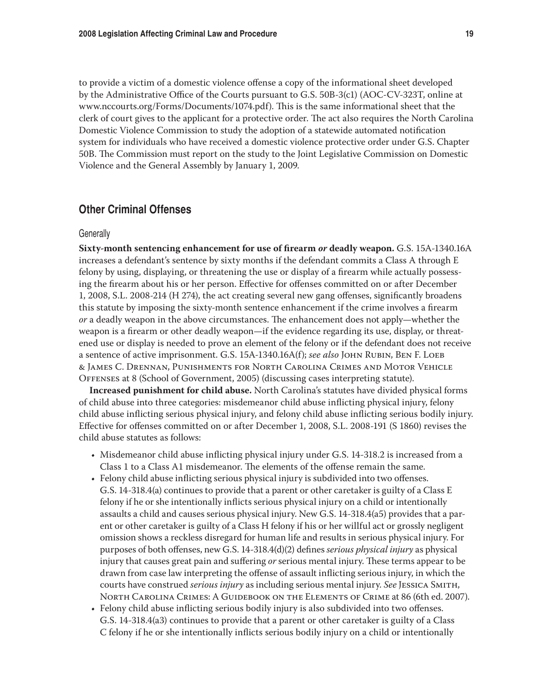to provide a victim of a domestic violence offense a copy of the informational sheet developed by the Administrative Office of the Courts pursuant to G.S. 50B-3(c1) (AOC-CV-323T, online at www.nccourts.org/Forms/Documents/1074.pdf). This is the same informational sheet that the clerk of court gives to the applicant for a protective order. The act also requires the North Carolina Domestic Violence Commission to study the adoption of a statewide automated notification system for individuals who have received a domestic violence protective order under G.S. Chapter 50B. The Commission must report on the study to the Joint Legislative Commission on Domestic Violence and the General Assembly by January 1, 2009.

# **Other Criminal Offenses**

#### **Generally**

**Sixty-month sentencing enhancement for use of firearm** *or* **deadly weapon.** G.S. 15A-1340.16A increases a defendant's sentence by sixty months if the defendant commits a Class A through E felony by using, displaying, or threatening the use or display of a firearm while actually possessing the firearm about his or her person. Effective for offenses committed on or after December 1, 2008, S.L. 2008-214 (H 274), the act creating several new gang offenses, significantly broadens this statute by imposing the sixty-month sentence enhancement if the crime involves a firearm *or* a deadly weapon in the above circumstances. The enhancement does not apply—whether the weapon is a firearm or other deadly weapon—if the evidence regarding its use, display, or threatened use or display is needed to prove an element of the felony or if the defendant does not receive a sentence of active imprisonment. G.S. 15A-1340.16A(f); *see also* John Rubin, Ben F. Loeb & James C. Drennan, Punishments for North Carolina Crimes and Motor Vehicle Offenses at 8 (School of Government, 2005) (discussing cases interpreting statute).

**Increased punishment for child abuse.** North Carolina's statutes have divided physical forms of child abuse into three categories: misdemeanor child abuse inflicting physical injury, felony child abuse inflicting serious physical injury, and felony child abuse inflicting serious bodily injury. Effective for offenses committed on or after December 1, 2008, S.L. 2008-191 (S 1860) revises the child abuse statutes as follows:

- Misdemeanor child abuse inflicting physical injury under G.S. 14-318.2 is increased from a Class 1 to a Class A1 misdemeanor. The elements of the offense remain the same.
- • Felony child abuse inflicting serious physical injury is subdivided into two offenses. G.S. 14-318.4(a) continues to provide that a parent or other caretaker is guilty of a Class E felony if he or she intentionally inflicts serious physical injury on a child or intentionally assaults a child and causes serious physical injury. New G.S. 14-318.4(a5) provides that a parent or other caretaker is guilty of a Class H felony if his or her willful act or grossly negligent omission shows a reckless disregard for human life and results in serious physical injury. For purposes of both offenses, new G.S. 14-318.4(d)(2) defines *serious physical injury* as physical injury that causes great pain and suffering *or* serious mental injury. These terms appear to be drawn from case law interpreting the offense of assault inflicting serious injury, in which the courts have construed *serious injury* as including serious mental injury. *See* Jessica Smith, North Carolina Crimes: A Guidebook on the Elements of Crime at 86 (6th ed. 2007).
- • Felony child abuse inflicting serious bodily injury is also subdivided into two offenses. G.S. 14-318.4(a3) continues to provide that a parent or other caretaker is guilty of a Class C felony if he or she intentionally inflicts serious bodily injury on a child or intentionally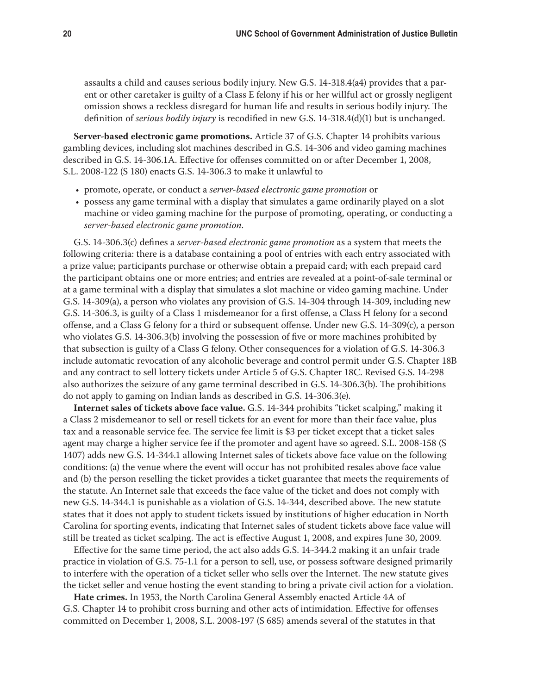assaults a child and causes serious bodily injury. New G.S. 14-318.4(a4) provides that a parent or other caretaker is guilty of a Class E felony if his or her willful act or grossly negligent omission shows a reckless disregard for human life and results in serious bodily injury. The definition of *serious bodily injury* is recodified in new G.S. 14-318.4(d)(1) but is unchanged.

**Server-based electronic game promotions.** Article 37 of G.S. Chapter 14 prohibits various gambling devices, including slot machines described in G.S. 14-306 and video gaming machines described in G.S. 14-306.1A. Effective for offenses committed on or after December 1, 2008, S.L. 2008-122 (S 180) enacts G.S. 14-306.3 to make it unlawful to

- • promote, operate, or conduct a *server-based electronic game promotion* or
- • possess any game terminal with a display that simulates a game ordinarily played on a slot machine or video gaming machine for the purpose of promoting, operating, or conducting a *server-based electronic game promotion*.

G.S. 14-306.3(c) defines a *server-based electronic game promotion* as a system that meets the following criteria: there is a database containing a pool of entries with each entry associated with a prize value; participants purchase or otherwise obtain a prepaid card; with each prepaid card the participant obtains one or more entries; and entries are revealed at a point-of-sale terminal or at a game terminal with a display that simulates a slot machine or video gaming machine. Under G.S. 14-309(a), a person who violates any provision of G.S. 14-304 through 14-309, including new G.S. 14-306.3, is guilty of a Class 1 misdemeanor for a first offense, a Class H felony for a second offense, and a Class G felony for a third or subsequent offense. Under new G.S. 14-309(c), a person who violates G.S. 14-306.3(b) involving the possession of five or more machines prohibited by that subsection is guilty of a Class G felony. Other consequences for a violation of G.S. 14-306.3 include automatic revocation of any alcoholic beverage and control permit under G.S. Chapter 18B and any contract to sell lottery tickets under Article 5 of G.S. Chapter 18C. Revised G.S. 14-298 also authorizes the seizure of any game terminal described in G.S. 14-306.3(b). The prohibitions do not apply to gaming on Indian lands as described in G.S. 14-306.3(e).

**Internet sales of tickets above face value.** G.S. 14-344 prohibits "ticket scalping," making it a Class 2 misdemeanor to sell or resell tickets for an event for more than their face value, plus tax and a reasonable service fee. The service fee limit is \$3 per ticket except that a ticket sales agent may charge a higher service fee if the promoter and agent have so agreed. S.L. 2008-158 (S 1407) adds new G.S. 14-344.1 allowing Internet sales of tickets above face value on the following conditions: (a) the venue where the event will occur has not prohibited resales above face value and (b) the person reselling the ticket provides a ticket guarantee that meets the requirements of the statute. An Internet sale that exceeds the face value of the ticket and does not comply with new G.S. 14-344.1 is punishable as a violation of G.S. 14-344, described above. The new statute states that it does not apply to student tickets issued by institutions of higher education in North Carolina for sporting events, indicating that Internet sales of student tickets above face value will still be treated as ticket scalping. The act is effective August 1, 2008, and expires June 30, 2009.

Effective for the same time period, the act also adds G.S. 14-344.2 making it an unfair trade practice in violation of G.S. 75-1.1 for a person to sell, use, or possess software designed primarily to interfere with the operation of a ticket seller who sells over the Internet. The new statute gives the ticket seller and venue hosting the event standing to bring a private civil action for a violation.

**Hate crimes.** In 1953, the North Carolina General Assembly enacted Article 4A of G.S. Chapter 14 to prohibit cross burning and other acts of intimidation. Effective for offenses committed on December 1, 2008, S.L. 2008-197 (S 685) amends several of the statutes in that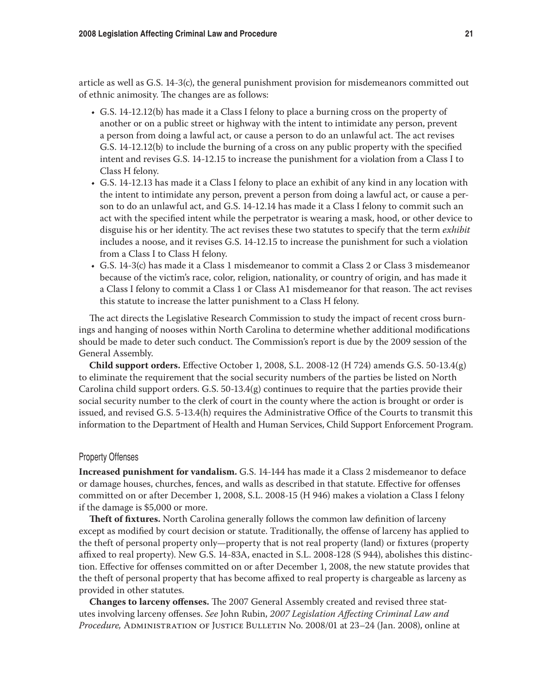article as well as G.S. 14-3(c), the general punishment provision for misdemeanors committed out of ethnic animosity. The changes are as follows:

- • G.S. 14-12.12(b) has made it a Class I felony to place a burning cross on the property of another or on a public street or highway with the intent to intimidate any person, prevent a person from doing a lawful act, or cause a person to do an unlawful act. The act revises G.S. 14-12.12(b) to include the burning of a cross on any public property with the specified intent and revises G.S. 14-12.15 to increase the punishment for a violation from a Class I to Class H felony.
- • G.S. 14-12.13 has made it a Class I felony to place an exhibit of any kind in any location with the intent to intimidate any person, prevent a person from doing a lawful act, or cause a person to do an unlawful act, and G.S. 14-12.14 has made it a Class I felony to commit such an act with the specified intent while the perpetrator is wearing a mask, hood, or other device to disguise his or her identity. The act revises these two statutes to specify that the term *exhibit*  includes a noose, and it revises G.S. 14-12.15 to increase the punishment for such a violation from a Class I to Class H felony.
- • G.S. 14-3(c) has made it a Class 1 misdemeanor to commit a Class 2 or Class 3 misdemeanor because of the victim's race, color, religion, nationality, or country of origin, and has made it a Class I felony to commit a Class 1 or Class A1 misdemeanor for that reason. The act revises this statute to increase the latter punishment to a Class H felony.

The act directs the Legislative Research Commission to study the impact of recent cross burnings and hanging of nooses within North Carolina to determine whether additional modifications should be made to deter such conduct. The Commission's report is due by the 2009 session of the General Assembly.

**Child support orders.** Effective October 1, 2008, S.L. 2008-12 (H 724) amends G.S. 50-13.4(g) to eliminate the requirement that the social security numbers of the parties be listed on North Carolina child support orders. G.S. 50-13.4(g) continues to require that the parties provide their social security number to the clerk of court in the county where the action is brought or order is issued, and revised G.S. 5-13.4(h) requires the Administrative Office of the Courts to transmit this information to the Department of Health and Human Services, Child Support Enforcement Program.

## Property Offenses

**Increased punishment for vandalism.** G.S. 14-144 has made it a Class 2 misdemeanor to deface or damage houses, churches, fences, and walls as described in that statute. Effective for offenses committed on or after December 1, 2008, S.L. 2008-15 (H 946) makes a violation a Class I felony if the damage is \$5,000 or more.

**Theft of fixtures.** North Carolina generally follows the common law definition of larceny except as modified by court decision or statute. Traditionally, the offense of larceny has applied to the theft of personal property only—property that is not real property (land) or fixtures (property affixed to real property). New G.S. 14-83A, enacted in S.L. 2008-128 (S 944), abolishes this distinction. Effective for offenses committed on or after December 1, 2008, the new statute provides that the theft of personal property that has become affixed to real property is chargeable as larceny as provided in other statutes.

**Changes to larceny offenses.** The 2007 General Assembly created and revised three statutes involving larceny offenses. *See* John Rubin, *2007 Legislation Affecting Criminal Law and Procedure,* Administration of Justice Bulletin No. 2008/01 at 23–24 (Jan. 2008), online at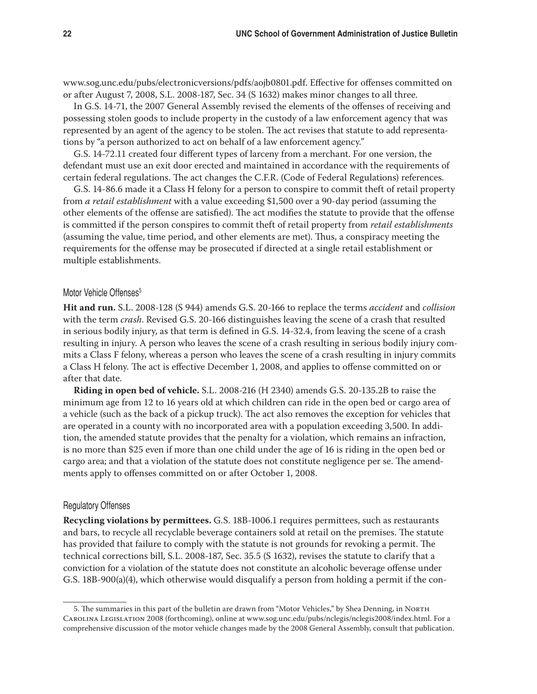www.sog.unc.edu/pubs/electronicversions/pdfs/aojb0801.pdf. Effective for offenses committed on or after August 7, 2008, S.L. 2008-187, Sec. 34 (S 1632) makes minor changes to all three.

In G.S. 14-71, the 2007 General Assembly revised the elements of the offenses of receiving and possessing stolen goods to include property in the custody of a law enforcement agency that was represented by an agent of the agency to be stolen. The act revises that statute to add representations by "a person authorized to act on behalf of a law enforcement agency."

G.S. 14-72.11 created four different types of larceny from a merchant. For one version, the defendant must use an exit door erected and maintained in accordance with the requirements of certain federal regulations. The act changes the C.F.R. (Code of Federal Regulations) references.

G.S. 14-86.6 made it a Class H felony for a person to conspire to commit theft of retail property from *a retail establishment* with a value exceeding \$1,500 over a 90-day period (assuming the other elements of the offense are satisfied). The act modifies the statute to provide that the offense is committed if the person conspires to commit theft of retail property from *retail establishments*  (assuming the value, time period, and other elements are met). Thus, a conspiracy meeting the requirements for the offense may be prosecuted if directed at a single retail establishment or multiple establishments.

#### Motor Vehicle Offenses<sup>5</sup>

**Hit and run.** S.L. 2008-128 (S 944) amends G.S. 20-166 to replace the terms *accident* and *collision* with the term *crash*. Revised G.S. 20-166 distinguishes leaving the scene of a crash that resulted in serious bodily injury, as that term is defined in G.S. 14-32.4, from leaving the scene of a crash resulting in injury. A person who leaves the scene of a crash resulting in serious bodily injury commits a Class F felony, whereas a person who leaves the scene of a crash resulting in injury commits a Class H felony. The act is effective December 1, 2008, and applies to offense committed on or after that date.

**Riding in open bed of vehicle.** S.L. 2008-216 (H 2340) amends G.S. 20-135.2B to raise the minimum age from 12 to 16 years old at which children can ride in the open bed or cargo area of a vehicle (such as the back of a pickup truck). The act also removes the exception for vehicles that are operated in a county with no incorporated area with a population exceeding 3,500. In addition, the amended statute provides that the penalty for a violation, which remains an infraction, is no more than \$25 even if more than one child under the age of 16 is riding in the open bed or cargo area; and that a violation of the statute does not constitute negligence per se. The amendments apply to offenses committed on or after October 1, 2008.

## Regulatory Offenses

**Recycling violations by permittees.** G.S. 18B-1006.1 requires permittees, such as restaurants and bars, to recycle all recyclable beverage containers sold at retail on the premises. The statute has provided that failure to comply with the statute is not grounds for revoking a permit. The technical corrections bill, S.L. 2008-187, Sec. 35.5 (S 1632), revises the statute to clarify that a conviction for a violation of the statute does not constitute an alcoholic beverage offense under G.S.  $18B-900(a)(4)$ , which otherwise would disqualify a person from holding a permit if the con-

<sup>5.</sup> The summaries in this part of the bulletin are drawn from "Motor Vehicles," by Shea Denning, in North Carolina Legislation 2008 (forthcoming), online at www.sog.unc.edu/pubs/nclegis/nclegis2008/index.html. For a comprehensive discussion of the motor vehicle changes made by the 2008 General Assembly, consult that publication.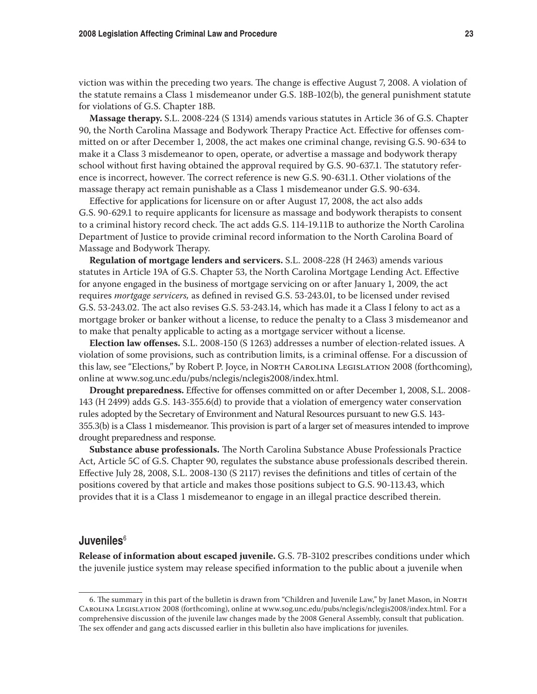viction was within the preceding two years. The change is effective August 7, 2008. A violation of the statute remains a Class 1 misdemeanor under G.S. 18B-102(b), the general punishment statute for violations of G.S. Chapter 18B.

**Massage therapy.** S.L. 2008-224 (S 1314) amends various statutes in Article 36 of G.S. Chapter 90, the North Carolina Massage and Bodywork Therapy Practice Act. Effective for offenses committed on or after December 1, 2008, the act makes one criminal change, revising G.S. 90-634 to make it a Class 3 misdemeanor to open, operate, or advertise a massage and bodywork therapy school without first having obtained the approval required by G.S. 90-637.1. The statutory reference is incorrect, however. The correct reference is new G.S. 90-631.1. Other violations of the massage therapy act remain punishable as a Class 1 misdemeanor under G.S. 90-634.

Effective for applications for licensure on or after August 17, 2008, the act also adds G.S. 90-629.1 to require applicants for licensure as massage and bodywork therapists to consent to a criminal history record check. The act adds G.S. 114-19.11B to authorize the North Carolina Department of Justice to provide criminal record information to the North Carolina Board of Massage and Bodywork Therapy.

**Regulation of mortgage lenders and servicers.** S.L. 2008-228 (H 2463) amends various statutes in Article 19A of G.S. Chapter 53, the North Carolina Mortgage Lending Act. Effective for anyone engaged in the business of mortgage servicing on or after January 1, 2009, the act requires *mortgage servicers,* as defined in revised G.S. 53-243.01, to be licensed under revised G.S. 53-243.02. The act also revises G.S. 53-243.14, which has made it a Class I felony to act as a mortgage broker or banker without a license, to reduce the penalty to a Class 3 misdemeanor and to make that penalty applicable to acting as a mortgage servicer without a license.

**Election law offenses.** S.L. 2008-150 (S 1263) addresses a number of election-related issues. A violation of some provisions, such as contribution limits, is a criminal offense. For a discussion of this law, see "Elections," by Robert P. Joyce, in North Carolina Legislation 2008 (forthcoming), online at www.sog.unc.edu/pubs/nclegis/nclegis2008/index.html.

**Drought preparedness.** Effective for offenses committed on or after December 1, 2008, S.L. 2008- 143 (H 2499) adds G.S. 143-355.6(d) to provide that a violation of emergency water conservation rules adopted by the Secretary of Environment and Natural Resources pursuant to new G.S. 143- 355.3(b) is a Class 1 misdemeanor. This provision is part of a larger set of measures intended to improve drought preparedness and response.

**Substance abuse professionals.** The North Carolina Substance Abuse Professionals Practice Act, Article 5C of G.S. Chapter 90, regulates the substance abuse professionals described therein. Effective July 28, 2008, S.L. 2008-130 (S 2117) revises the definitions and titles of certain of the positions covered by that article and makes those positions subject to G.S. 90-113.43, which provides that it is a Class 1 misdemeanor to engage in an illegal practice described therein.

# **Juveniles**<sup>6</sup>

**Release of information about escaped juvenile.** G.S. 7B-3102 prescribes conditions under which the juvenile justice system may release specified information to the public about a juvenile when

<sup>6.</sup> The summary in this part of the bulletin is drawn from "Children and Juvenile Law," by Janet Mason, in NORTH Carolina Legislation 2008 (forthcoming), online at www.sog.unc.edu/pubs/nclegis/nclegis2008/index.html. For a comprehensive discussion of the juvenile law changes made by the 2008 General Assembly, consult that publication. The sex offender and gang acts discussed earlier in this bulletin also have implications for juveniles.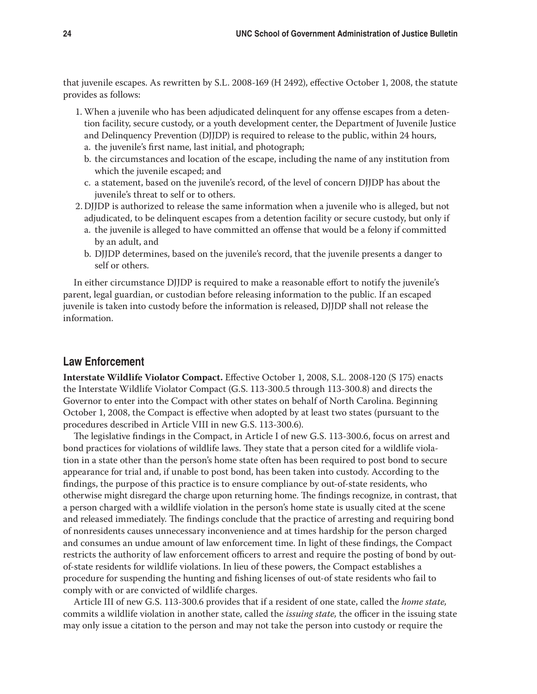that juvenile escapes. As rewritten by S.L. 2008-169 (H 2492), effective October 1, 2008, the statute provides as follows:

- 1. When a juvenile who has been adjudicated delinquent for any offense escapes from a detention facility, secure custody, or a youth development center, the Department of Juvenile Justice and Delinquency Prevention (DJJDP) is required to release to the public, within 24 hours,
	- a. the juvenile's first name, last initial, and photograph;
	- b. the circumstances and location of the escape, including the name of any institution from which the juvenile escaped; and
	- c. a statement, based on the juvenile's record, of the level of concern DJJDP has about the juvenile's threat to self or to others.
- 2. DJJDP is authorized to release the same information when a juvenile who is alleged, but not adjudicated, to be delinquent escapes from a detention facility or secure custody, but only if
	- a. the juvenile is alleged to have committed an offense that would be a felony if committed by an adult, and
	- b. DJJDP determines, based on the juvenile's record, that the juvenile presents a danger to self or others.

In either circumstance DJJDP is required to make a reasonable effort to notify the juvenile's parent, legal guardian, or custodian before releasing information to the public. If an escaped juvenile is taken into custody before the information is released, DJJDP shall not release the information.

# **Law Enforcement**

**Interstate Wildlife Violator Compact.** Effective October 1, 2008, S.L. 2008-120 (S 175) enacts the Interstate Wildlife Violator Compact (G.S. 113-300.5 through 113-300.8) and directs the Governor to enter into the Compact with other states on behalf of North Carolina. Beginning October 1, 2008, the Compact is effective when adopted by at least two states (pursuant to the procedures described in Article VIII in new G.S. 113-300.6).

The legislative findings in the Compact, in Article I of new G.S. 113-300.6, focus on arrest and bond practices for violations of wildlife laws. They state that a person cited for a wildlife violation in a state other than the person's home state often has been required to post bond to secure appearance for trial and, if unable to post bond, has been taken into custody. According to the findings, the purpose of this practice is to ensure compliance by out-of-state residents, who otherwise might disregard the charge upon returning home. The findings recognize, in contrast, that a person charged with a wildlife violation in the person's home state is usually cited at the scene and released immediately. The findings conclude that the practice of arresting and requiring bond of nonresidents causes unnecessary inconvenience and at times hardship for the person charged and consumes an undue amount of law enforcement time. In light of these findings, the Compact restricts the authority of law enforcement officers to arrest and require the posting of bond by outof-state residents for wildlife violations. In lieu of these powers, the Compact establishes a procedure for suspending the hunting and fishing licenses of out-of state residents who fail to comply with or are convicted of wildlife charges.

Article III of new G.S. 113-300.6 provides that if a resident of one state, called the *home state,*  commits a wildlife violation in another state, called the *issuing state,* the officer in the issuing state may only issue a citation to the person and may not take the person into custody or require the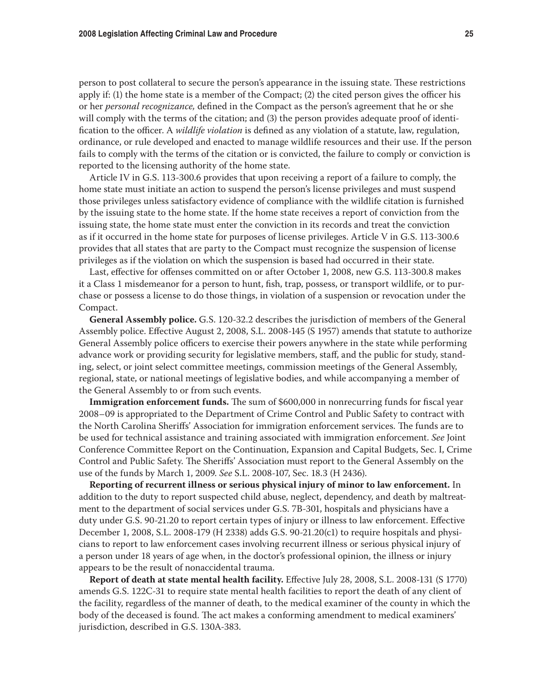person to post collateral to secure the person's appearance in the issuing state. These restrictions apply if: (1) the home state is a member of the Compact; (2) the cited person gives the officer his or her *personal recognizance,* defined in the Compact as the person's agreement that he or she will comply with the terms of the citation; and (3) the person provides adequate proof of identification to the officer. A *wildlife violation* is defined as any violation of a statute, law, regulation, ordinance, or rule developed and enacted to manage wildlife resources and their use. If the person fails to comply with the terms of the citation or is convicted, the failure to comply or conviction is reported to the licensing authority of the home state.

Article IV in G.S. 113-300.6 provides that upon receiving a report of a failure to comply, the home state must initiate an action to suspend the person's license privileges and must suspend those privileges unless satisfactory evidence of compliance with the wildlife citation is furnished by the issuing state to the home state. If the home state receives a report of conviction from the issuing state, the home state must enter the conviction in its records and treat the conviction as if it occurred in the home state for purposes of license privileges. Article V in G.S. 113-300.6 provides that all states that are party to the Compact must recognize the suspension of license privileges as if the violation on which the suspension is based had occurred in their state.

Last, effective for offenses committed on or after October 1, 2008, new G.S. 113-300.8 makes it a Class 1 misdemeanor for a person to hunt, fish, trap, possess, or transport wildlife, or to purchase or possess a license to do those things, in violation of a suspension or revocation under the Compact.

**General Assembly police.** G.S. 120-32.2 describes the jurisdiction of members of the General Assembly police. Effective August 2, 2008, S.L. 2008-145 (S 1957) amends that statute to authorize General Assembly police officers to exercise their powers anywhere in the state while performing advance work or providing security for legislative members, staff, and the public for study, standing, select, or joint select committee meetings, commission meetings of the General Assembly, regional, state, or national meetings of legislative bodies, and while accompanying a member of the General Assembly to or from such events.

**Immigration enforcement funds.** The sum of \$600,000 in nonrecurring funds for fiscal year 2008–09 is appropriated to the Department of Crime Control and Public Safety to contract with the North Carolina Sheriffs' Association for immigration enforcement services. The funds are to be used for technical assistance and training associated with immigration enforcement. *See* Joint Conference Committee Report on the Continuation, Expansion and Capital Budgets, Sec. I, Crime Control and Public Safety. The Sheriffs' Association must report to the General Assembly on the use of the funds by March 1, 2009. *See* S.L. 2008-107, Sec. 18.3 (H 2436).

**Reporting of recurrent illness or serious physical injury of minor to law enforcement.** In addition to the duty to report suspected child abuse, neglect, dependency, and death by maltreatment to the department of social services under G.S. 7B-301, hospitals and physicians have a duty under G.S. 90-21.20 to report certain types of injury or illness to law enforcement. Effective December 1, 2008, S.L. 2008-179 (H 2338) adds G.S. 90-21.20(c1) to require hospitals and physicians to report to law enforcement cases involving recurrent illness or serious physical injury of a person under 18 years of age when, in the doctor's professional opinion, the illness or injury appears to be the result of nonaccidental trauma.

**Report of death at state mental health facility.** Effective July 28, 2008, S.L. 2008-131 (S 1770) amends G.S. 122C-31 to require state mental health facilities to report the death of any client of the facility, regardless of the manner of death, to the medical examiner of the county in which the body of the deceased is found. The act makes a conforming amendment to medical examiners' jurisdiction, described in G.S. 130A-383.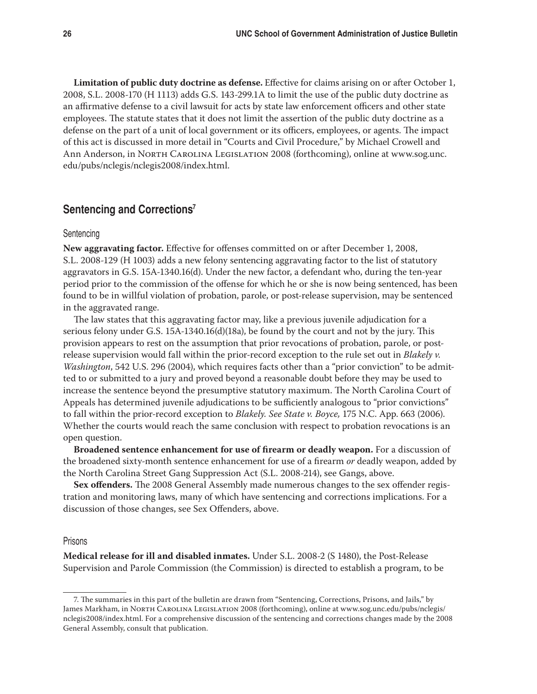**Limitation of public duty doctrine as defense.** Effective for claims arising on or after October 1, 2008, S.L. 2008-170 (H 1113) adds G.S. 143-299.1A to limit the use of the public duty doctrine as an affirmative defense to a civil lawsuit for acts by state law enforcement officers and other state employees. The statute states that it does not limit the assertion of the public duty doctrine as a defense on the part of a unit of local government or its officers, employees, or agents. The impact of this act is discussed in more detail in "Courts and Civil Procedure," by Michael Crowell and Ann Anderson, in North Carolina Legislation 2008 (forthcoming), online at www.sog.unc. edu/pubs/nclegis/nclegis2008/index.html.

# **Sentencing and Corrections7**

#### Sentencing

**New aggravating factor.** Effective for offenses committed on or after December 1, 2008, S.L. 2008-129 (H 1003) adds a new felony sentencing aggravating factor to the list of statutory aggravators in G.S. 15A-1340.16(d). Under the new factor, a defendant who, during the ten-year period prior to the commission of the offense for which he or she is now being sentenced, has been found to be in willful violation of probation, parole, or post-release supervision, may be sentenced in the aggravated range.

The law states that this aggravating factor may, like a previous juvenile adjudication for a serious felony under G.S. 15A-1340.16(d)(18a), be found by the court and not by the jury. This provision appears to rest on the assumption that prior revocations of probation, parole, or postrelease supervision would fall within the prior-record exception to the rule set out in *Blakely v. Washington*, 542 U.S. 296 (2004), which requires facts other than a "prior conviction" to be admitted to or submitted to a jury and proved beyond a reasonable doubt before they may be used to increase the sentence beyond the presumptive statutory maximum. The North Carolina Court of Appeals has determined juvenile adjudications to be sufficiently analogous to "prior convictions" to fall within the prior-record exception to *Blakely. See State v. Boyce,* 175 N.C. App. 663 (2006). Whether the courts would reach the same conclusion with respect to probation revocations is an open question.

**Broadened sentence enhancement for use of firearm or deadly weapon.** For a discussion of the broadened sixty-month sentence enhancement for use of a firearm *or* deadly weapon, added by the North Carolina Street Gang Suppression Act (S.L. 2008-214), see Gangs, above.

**Sex offenders.** The 2008 General Assembly made numerous changes to the sex offender registration and monitoring laws, many of which have sentencing and corrections implications. For a discussion of those changes, see Sex Offenders, above.

## Prisons

**Medical release for ill and disabled inmates.** Under S.L. 2008-2 (S 1480), the Post-Release Supervision and Parole Commission (the Commission) is directed to establish a program, to be

<sup>7.</sup> The summaries in this part of the bulletin are drawn from "Sentencing, Corrections, Prisons, and Jails," by James Markham, in NORTH CAROLINA LEGISLATION 2008 (forthcoming), online at www.sog.unc.edu/pubs/nclegis/ nclegis2008/index.html. For a comprehensive discussion of the sentencing and corrections changes made by the 2008 General Assembly, consult that publication.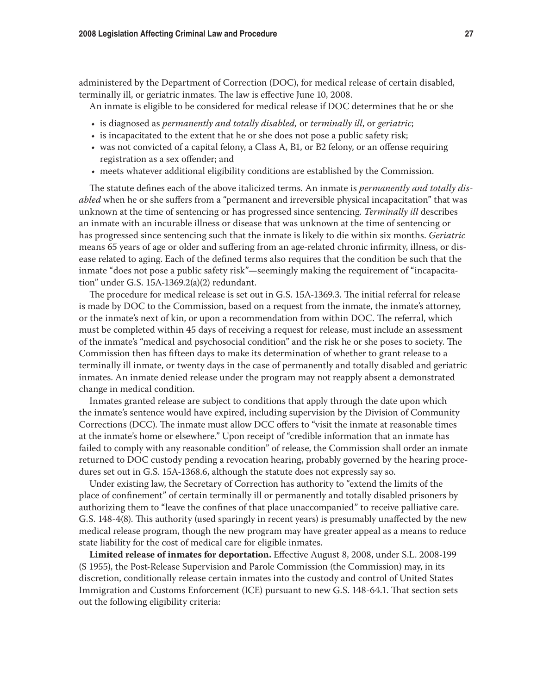administered by the Department of Correction (DOC), for medical release of certain disabled, terminally ill, or geriatric inmates. The law is effective June 10, 2008.

An inmate is eligible to be considered for medical release if DOC determines that he or she

- • is diagnosed as *permanently and totally disabled,* or *terminally ill*, or *geriatric*;
- is incapacitated to the extent that he or she does not pose a public safety risk;
- was not convicted of a capital felony, a Class A, B1, or B2 felony, or an offense requiring registration as a sex offender; and
- • meets whatever additional eligibility conditions are established by the Commission.

The statute defines each of the above italicized terms. An inmate is *permanently and totally disabled* when he or she suffers from a "permanent and irreversible physical incapacitation" that was unknown at the time of sentencing or has progressed since sentencing. *Terminally ill* describes an inmate with an incurable illness or disease that was unknown at the time of sentencing or has progressed since sentencing such that the inmate is likely to die within six months. *Geriatric* means 65 years of age or older and suffering from an age-related chronic infirmity, illness, or disease related to aging. Each of the defined terms also requires that the condition be such that the inmate "does not pose a public safety risk"—seemingly making the requirement of "incapacitation" under G.S. 15A-1369.2(a)(2) redundant.

The procedure for medical release is set out in G.S. 15A-1369.3. The initial referral for release is made by DOC to the Commission, based on a request from the inmate, the inmate's attorney, or the inmate's next of kin, or upon a recommendation from within DOC. The referral, which must be completed within 45 days of receiving a request for release, must include an assessment of the inmate's "medical and psychosocial condition" and the risk he or she poses to society. The Commission then has fifteen days to make its determination of whether to grant release to a terminally ill inmate, or twenty days in the case of permanently and totally disabled and geriatric inmates. An inmate denied release under the program may not reapply absent a demonstrated change in medical condition.

Inmates granted release are subject to conditions that apply through the date upon which the inmate's sentence would have expired, including supervision by the Division of Community Corrections (DCC). The inmate must allow DCC offers to "visit the inmate at reasonable times at the inmate's home or elsewhere." Upon receipt of "credible information that an inmate has failed to comply with any reasonable condition" of release, the Commission shall order an inmate returned to DOC custody pending a revocation hearing, probably governed by the hearing procedures set out in G.S. 15A-1368.6, although the statute does not expressly say so.

Under existing law, the Secretary of Correction has authority to "extend the limits of the place of confinement" of certain terminally ill or permanently and totally disabled prisoners by authorizing them to "leave the confines of that place unaccompanied" to receive palliative care. G.S. 148-4(8). This authority (used sparingly in recent years) is presumably unaffected by the new medical release program, though the new program may have greater appeal as a means to reduce state liability for the cost of medical care for eligible inmates.

**Limited release of inmates for deportation.** Effective August 8, 2008, under S.L. 2008-199 (S 1955), the Post-Release Supervision and Parole Commission (the Commission) may, in its discretion, conditionally release certain inmates into the custody and control of United States Immigration and Customs Enforcement (ICE) pursuant to new G.S. 148-64.1. That section sets out the following eligibility criteria: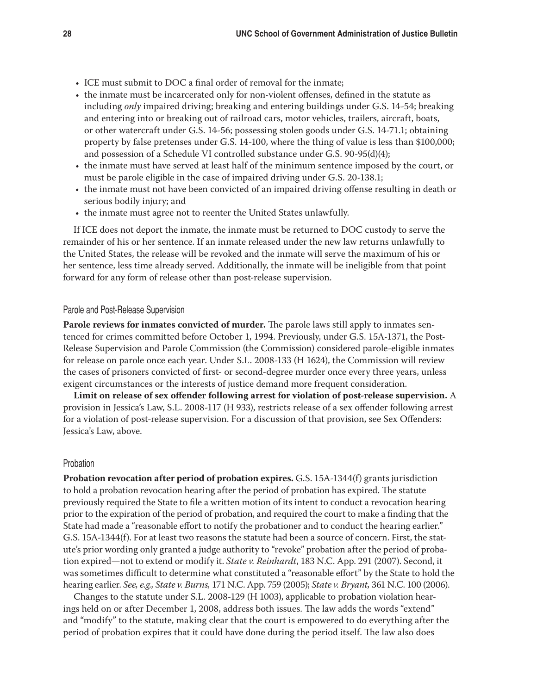- ICE must submit to DOC a final order of removal for the inmate;
- the inmate must be incarcerated only for non-violent offenses, defined in the statute as including *only* impaired driving; breaking and entering buildings under G.S. 14-54; breaking and entering into or breaking out of railroad cars, motor vehicles, trailers, aircraft, boats, or other watercraft under G.S. 14-56; possessing stolen goods under G.S. 14-71.1; obtaining property by false pretenses under G.S. 14-100, where the thing of value is less than \$100,000; and possession of a Schedule VI controlled substance under G.S. 90-95(d)(4);
- • the inmate must have served at least half of the minimum sentence imposed by the court, or must be parole eligible in the case of impaired driving under G.S. 20-138.1;
- the inmate must not have been convicted of an impaired driving offense resulting in death or serious bodily injury; and
- the inmate must agree not to reenter the United States unlawfully.

If ICE does not deport the inmate, the inmate must be returned to DOC custody to serve the remainder of his or her sentence. If an inmate released under the new law returns unlawfully to the United States, the release will be revoked and the inmate will serve the maximum of his or her sentence, less time already served. Additionally, the inmate will be ineligible from that point forward for any form of release other than post-release supervision.

## Parole and Post-Release Supervision

**Parole reviews for inmates convicted of murder.** The parole laws still apply to inmates sentenced for crimes committed before October 1, 1994. Previously, under G.S. 15A-1371, the Post-Release Supervision and Parole Commission (the Commission) considered parole-eligible inmates for release on parole once each year. Under S.L. 2008-133 (H 1624), the Commission will review the cases of prisoners convicted of first- or second-degree murder once every three years, unless exigent circumstances or the interests of justice demand more frequent consideration.

**Limit on release of sex offender following arrest for violation of post-release supervision.** A provision in Jessica's Law, S.L. 2008-117 (H 933), restricts release of a sex offender following arrest for a violation of post-release supervision. For a discussion of that provision, see Sex Offenders: Jessica's Law, above.

## Probation

**Probation revocation after period of probation expires.** G.S. 15A-1344(f) grants jurisdiction to hold a probation revocation hearing after the period of probation has expired. The statute previously required the State to file a written motion of its intent to conduct a revocation hearing prior to the expiration of the period of probation, and required the court to make a finding that the State had made a "reasonable effort to notify the probationer and to conduct the hearing earlier." G.S. 15A-1344(f). For at least two reasons the statute had been a source of concern. First, the statute's prior wording only granted a judge authority to "revoke" probation after the period of probation expired—not to extend or modify it. *State v. Reinhardt*, 183 N.C. App. 291 (2007). Second, it was sometimes difficult to determine what constituted a "reasonable effort" by the State to hold the hearing earlier. *See, e.g., State v. Burns,* 171 N.C. App. 759 (2005); *State v. Bryant,* 361 N.C. 100 (2006).

Changes to the statute under S.L. 2008-129 (H 1003), applicable to probation violation hearings held on or after December 1, 2008, address both issues. The law adds the words "extend" and "modify" to the statute, making clear that the court is empowered to do everything after the period of probation expires that it could have done during the period itself. The law also does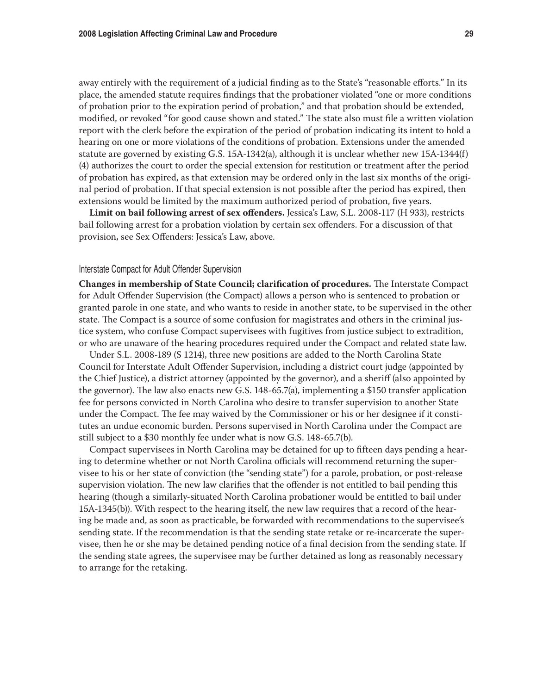away entirely with the requirement of a judicial finding as to the State's "reasonable efforts." In its place, the amended statute requires findings that the probationer violated "one or more conditions of probation prior to the expiration period of probation," and that probation should be extended, modified, or revoked "for good cause shown and stated." The state also must file a written violation report with the clerk before the expiration of the period of probation indicating its intent to hold a hearing on one or more violations of the conditions of probation. Extensions under the amended statute are governed by existing G.S. 15A-1342(a), although it is unclear whether new 15A-1344(f) (4) authorizes the court to order the special extension for restitution or treatment after the period of probation has expired, as that extension may be ordered only in the last six months of the original period of probation. If that special extension is not possible after the period has expired, then extensions would be limited by the maximum authorized period of probation, five years.

**Limit on bail following arrest of sex offenders.** Jessica's Law, S.L. 2008-117 (H 933), restricts bail following arrest for a probation violation by certain sex offenders. For a discussion of that provision, see Sex Offenders: Jessica's Law, above.

## Interstate Compact for Adult Offender Supervision

**Changes in membership of State Council; clarification of procedures.** The Interstate Compact for Adult Offender Supervision (the Compact) allows a person who is sentenced to probation or granted parole in one state, and who wants to reside in another state, to be supervised in the other state. The Compact is a source of some confusion for magistrates and others in the criminal justice system, who confuse Compact supervisees with fugitives from justice subject to extradition, or who are unaware of the hearing procedures required under the Compact and related state law.

Under S.L. 2008-189 (S 1214), three new positions are added to the North Carolina State Council for Interstate Adult Offender Supervision, including a district court judge (appointed by the Chief Justice), a district attorney (appointed by the governor), and a sheriff (also appointed by the governor). The law also enacts new G.S. 148-65.7(a), implementing a \$150 transfer application fee for persons convicted in North Carolina who desire to transfer supervision to another State under the Compact. The fee may waived by the Commissioner or his or her designee if it constitutes an undue economic burden. Persons supervised in North Carolina under the Compact are still subject to a \$30 monthly fee under what is now G.S. 148-65.7(b).

Compact supervisees in North Carolina may be detained for up to fifteen days pending a hearing to determine whether or not North Carolina officials will recommend returning the supervisee to his or her state of conviction (the "sending state") for a parole, probation, or post-release supervision violation. The new law clarifies that the offender is not entitled to bail pending this hearing (though a similarly-situated North Carolina probationer would be entitled to bail under 15A-1345(b)). With respect to the hearing itself, the new law requires that a record of the hearing be made and, as soon as practicable, be forwarded with recommendations to the supervisee's sending state. If the recommendation is that the sending state retake or re-incarcerate the supervisee, then he or she may be detained pending notice of a final decision from the sending state. If the sending state agrees, the supervisee may be further detained as long as reasonably necessary to arrange for the retaking.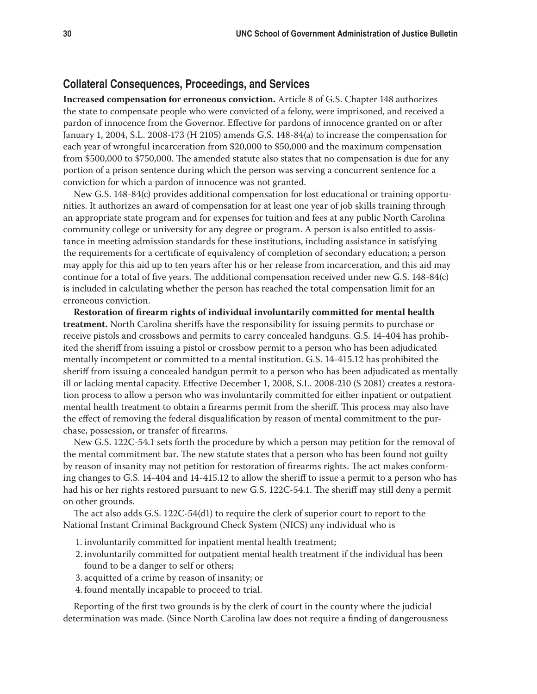# **Collateral Consequences, Proceedings, and Services**

**Increased compensation for erroneous conviction.** Article 8 of G.S. Chapter 148 authorizes the state to compensate people who were convicted of a felony, were imprisoned, and received a pardon of innocence from the Governor. Effective for pardons of innocence granted on or after January 1, 2004, S.L. 2008-173 (H 2105) amends G.S. 148-84(a) to increase the compensation for each year of wrongful incarceration from \$20,000 to \$50,000 and the maximum compensation from \$500,000 to \$750,000. The amended statute also states that no compensation is due for any portion of a prison sentence during which the person was serving a concurrent sentence for a conviction for which a pardon of innocence was not granted.

New G.S. 148-84(c) provides additional compensation for lost educational or training opportunities. It authorizes an award of compensation for at least one year of job skills training through an appropriate state program and for expenses for tuition and fees at any public North Carolina community college or university for any degree or program. A person is also entitled to assistance in meeting admission standards for these institutions, including assistance in satisfying the requirements for a certificate of equivalency of completion of secondary education; a person may apply for this aid up to ten years after his or her release from incarceration, and this aid may continue for a total of five years. The additional compensation received under new G.S. 148-84(c) is included in calculating whether the person has reached the total compensation limit for an erroneous conviction.

**Restoration of firearm rights of individual involuntarily committed for mental health treatment.** North Carolina sheriffs have the responsibility for issuing permits to purchase or receive pistols and crossbows and permits to carry concealed handguns. G.S. 14-404 has prohibited the sheriff from issuing a pistol or crossbow permit to a person who has been adjudicated mentally incompetent or committed to a mental institution. G.S. 14-415.12 has prohibited the sheriff from issuing a concealed handgun permit to a person who has been adjudicated as mentally ill or lacking mental capacity. Effective December 1, 2008, S.L. 2008-210 (S 2081) creates a restoration process to allow a person who was involuntarily committed for either inpatient or outpatient mental health treatment to obtain a firearms permit from the sheriff. This process may also have the effect of removing the federal disqualification by reason of mental commitment to the purchase, possession, or transfer of firearms.

New G.S. 122C-54.1 sets forth the procedure by which a person may petition for the removal of the mental commitment bar. The new statute states that a person who has been found not guilty by reason of insanity may not petition for restoration of firearms rights. The act makes conforming changes to G.S. 14-404 and 14-415.12 to allow the sheriff to issue a permit to a person who has had his or her rights restored pursuant to new G.S. 122C-54.1. The sheriff may still deny a permit on other grounds.

The act also adds G.S. 122C-54(d1) to require the clerk of superior court to report to the National Instant Criminal Background Check System (NICS) any individual who is

- 1. involuntarily committed for inpatient mental health treatment;
- 2. involuntarily committed for outpatient mental health treatment if the individual has been found to be a danger to self or others;
- 3. acquitted of a crime by reason of insanity; or
- 4. found mentally incapable to proceed to trial.

Reporting of the first two grounds is by the clerk of court in the county where the judicial determination was made. (Since North Carolina law does not require a finding of dangerousness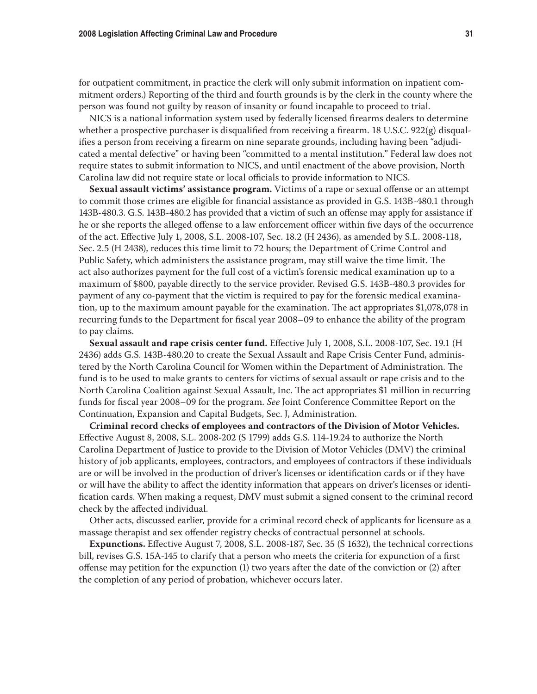for outpatient commitment, in practice the clerk will only submit information on inpatient commitment orders.) Reporting of the third and fourth grounds is by the clerk in the county where the person was found not guilty by reason of insanity or found incapable to proceed to trial.

NICS is a national information system used by federally licensed firearms dealers to determine whether a prospective purchaser is disqualified from receiving a firearm. 18 U.S.C. 922(g) disqualifies a person from receiving a firearm on nine separate grounds, including having been "adjudicated a mental defective" or having been "committed to a mental institution." Federal law does not require states to submit information to NICS, and until enactment of the above provision, North Carolina law did not require state or local officials to provide information to NICS.

**Sexual assault victims' assistance program.** Victims of a rape or sexual offense or an attempt to commit those crimes are eligible for financial assistance as provided in G.S. 143B-480.1 through 143B-480.3. G.S. 143B-480.2 has provided that a victim of such an offense may apply for assistance if he or she reports the alleged offense to a law enforcement officer within five days of the occurrence of the act. Effective July 1, 2008, S.L. 2008-107, Sec. 18.2 (H 2436), as amended by S.L. 2008-118, Sec. 2.5 (H 2438), reduces this time limit to 72 hours; the Department of Crime Control and Public Safety, which administers the assistance program, may still waive the time limit. The act also authorizes payment for the full cost of a victim's forensic medical examination up to a maximum of \$800, payable directly to the service provider. Revised G.S. 143B-480.3 provides for payment of any co-payment that the victim is required to pay for the forensic medical examination, up to the maximum amount payable for the examination. The act appropriates \$1,078,078 in recurring funds to the Department for fiscal year 2008–09 to enhance the ability of the program to pay claims.

**Sexual assault and rape crisis center fund.** Effective July 1, 2008, S.L. 2008-107, Sec. 19.1 (H 2436) adds G.S. 143B-480.20 to create the Sexual Assault and Rape Crisis Center Fund, administered by the North Carolina Council for Women within the Department of Administration. The fund is to be used to make grants to centers for victims of sexual assault or rape crisis and to the North Carolina Coalition against Sexual Assault, Inc. The act appropriates \$1 million in recurring funds for fiscal year 2008–09 for the program. *See* Joint Conference Committee Report on the Continuation, Expansion and Capital Budgets, Sec. J, Administration.

**Criminal record checks of employees and contractors of the Division of Motor Vehicles.**  Effective August 8, 2008, S.L. 2008-202 (S 1799) adds G.S. 114-19.24 to authorize the North Carolina Department of Justice to provide to the Division of Motor Vehicles (DMV) the criminal history of job applicants, employees, contractors, and employees of contractors if these individuals are or will be involved in the production of driver's licenses or identification cards or if they have or will have the ability to affect the identity information that appears on driver's licenses or identification cards. When making a request, DMV must submit a signed consent to the criminal record check by the affected individual.

Other acts, discussed earlier, provide for a criminal record check of applicants for licensure as a massage therapist and sex offender registry checks of contractual personnel at schools.

**Expunctions.** Effective August 7, 2008, S.L. 2008-187, Sec. 35 (S 1632), the technical corrections bill, revises G.S. 15A-145 to clarify that a person who meets the criteria for expunction of a first offense may petition for the expunction (1) two years after the date of the conviction or (2) after the completion of any period of probation, whichever occurs later.